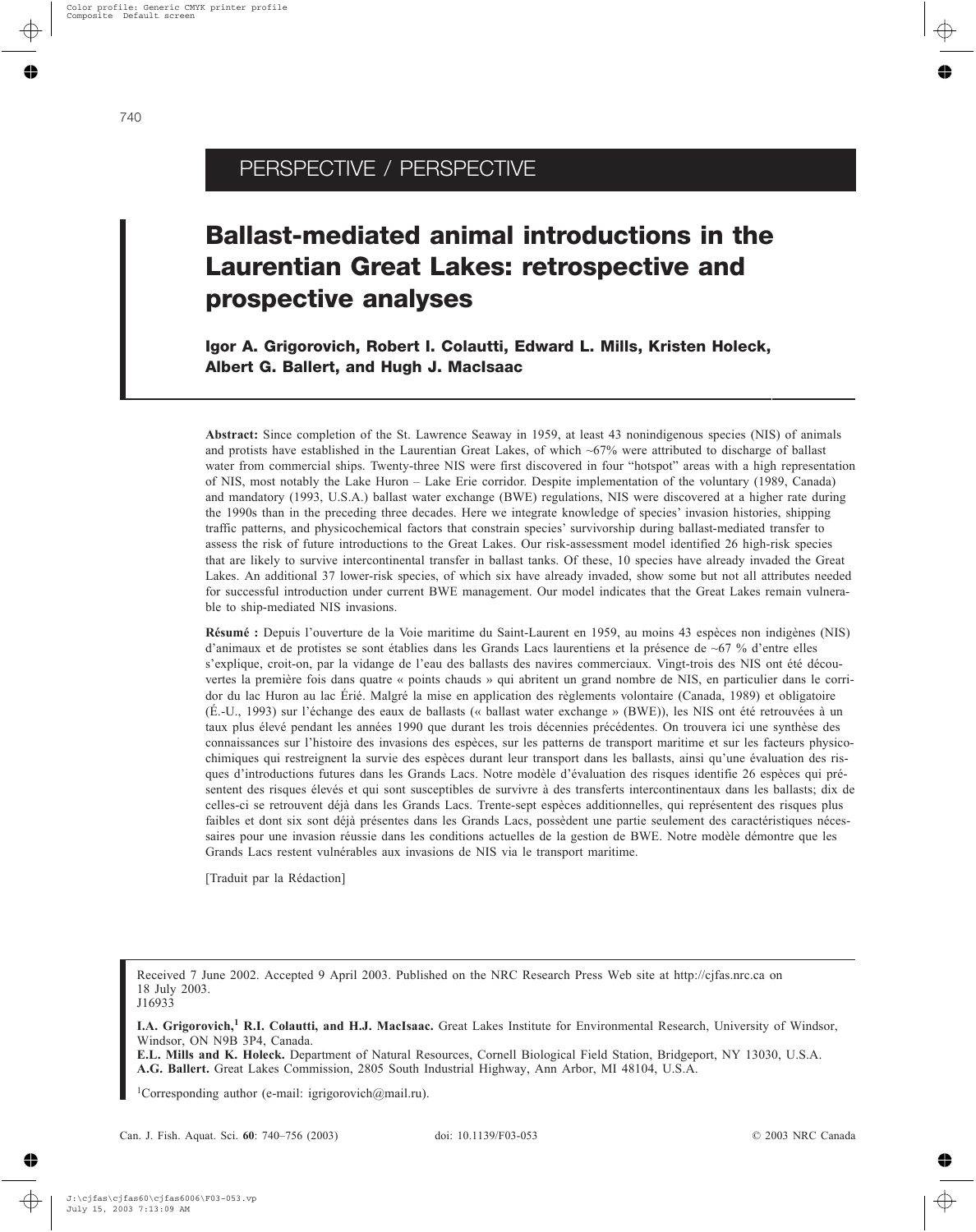# PERSPECTIVE / PERSPECTIVE

# **Ballast-mediated animal introductions in the Laurentian Great Lakes: retrospective and prospective analyses**

**Igor A. Grigorovich, Robert I. Colautti, Edward L. Mills, Kristen Holeck, Albert G. Ballert, and Hugh J. MacIsaac**

**Abstract:** Since completion of the St. Lawrence Seaway in 1959, at least 43 nonindigenous species (NIS) of animals and protists have established in the Laurentian Great Lakes, of which  $~67\%$  were attributed to discharge of ballast water from commercial ships. Twenty-three NIS were first discovered in four "hotspot" areas with a high representation of NIS, most notably the Lake Huron – Lake Erie corridor. Despite implementation of the voluntary (1989, Canada) and mandatory (1993, U.S.A.) ballast water exchange (BWE) regulations, NIS were discovered at a higher rate during the 1990s than in the preceding three decades. Here we integrate knowledge of species' invasion histories, shipping traffic patterns, and physicochemical factors that constrain species' survivorship during ballast-mediated transfer to assess the risk of future introductions to the Great Lakes. Our risk-assessment model identified 26 high-risk species that are likely to survive intercontinental transfer in ballast tanks. Of these, 10 species have already invaded the Great Lakes. An additional 37 lower-risk species, of which six have already invaded, show some but not all attributes needed for successful introduction under current BWE management. Our model indicates that the Great Lakes remain vulnerable to ship-mediated NIS invasions.

Résumé : Depuis l'ouverture de la Voie maritime du Saint-Laurent en 1959, au moins 43 espèces non indigènes (NIS) d'animaux et de protistes se sont établies dans les Grands Lacs laurentiens et la présence de ~67 % d'entre elles s'explique, croit-on, par la vidange de l'eau des ballasts des navires commerciaux. Vingt-trois des NIS ont été découvertes la première fois dans quatre « points chauds » qui abritent un grand nombre de NIS, en particulier dans le corridor du lac Huron au lac Érié. Malgré la mise en application des règlements volontaire (Canada, 1989) et obligatoire (É.-U., 1993) sur l'échange des eaux de ballasts (« ballast water exchange » (BWE)), les NIS ont été retrouvées à un taux plus élevé pendant les années 1990 que durant les trois décennies précédentes. On trouvera ici une synthèse des connaissances sur l'histoire des invasions des espèces, sur les patterns de transport maritime et sur les facteurs physicochimiques qui restreignent la survie des espèces durant leur transport dans les ballasts, ainsi qu'une évaluation des risques d'introductions futures dans les Grands Lacs. Notre modèle d'évaluation des risques identifie 26 espèces qui présentent des risques élevés et qui sont susceptibles de survivre à des transferts intercontinentaux dans les ballasts; dix de celles-ci se retrouvent déjà dans les Grands Lacs. Trente-sept espèces additionnelles, qui représentent des risques plus faibles et dont six sont déjà présentes dans les Grands Lacs, possèdent une partie seulement des caractéristiques nécessaires pour une invasion réussie dans les conditions actuelles de la gestion de BWE. Notre modèle démontre que les Grands Lacs restent vulnérables aux invasions de NIS via le transport maritime.

[Traduit par la Rédaction]

Received 7 June 2002. Accepted 9 April 2003. Published on the NRC Research Press Web site at http://cjfas.nrc.ca on 18 July 2003. J16933

**I.A. Grigorovich,<sup>1</sup> R.I. Colautti, and H.J. MacIsaac.** Great Lakes Institute for Environmental Research, University of Windsor, Windsor, ON N9B 3P4, Canada.

**E.L. Mills and K. Holeck.** Department of Natural Resources, Cornell Biological Field Station, Bridgeport, NY 13030, U.S.A. **A.G. Ballert.** Great Lakes Commission, 2805 South Industrial Highway, Ann Arbor, MI 48104, U.S.A.

<sup>1</sup>Corresponding author (e-mail: igrigorovich@mail.ru).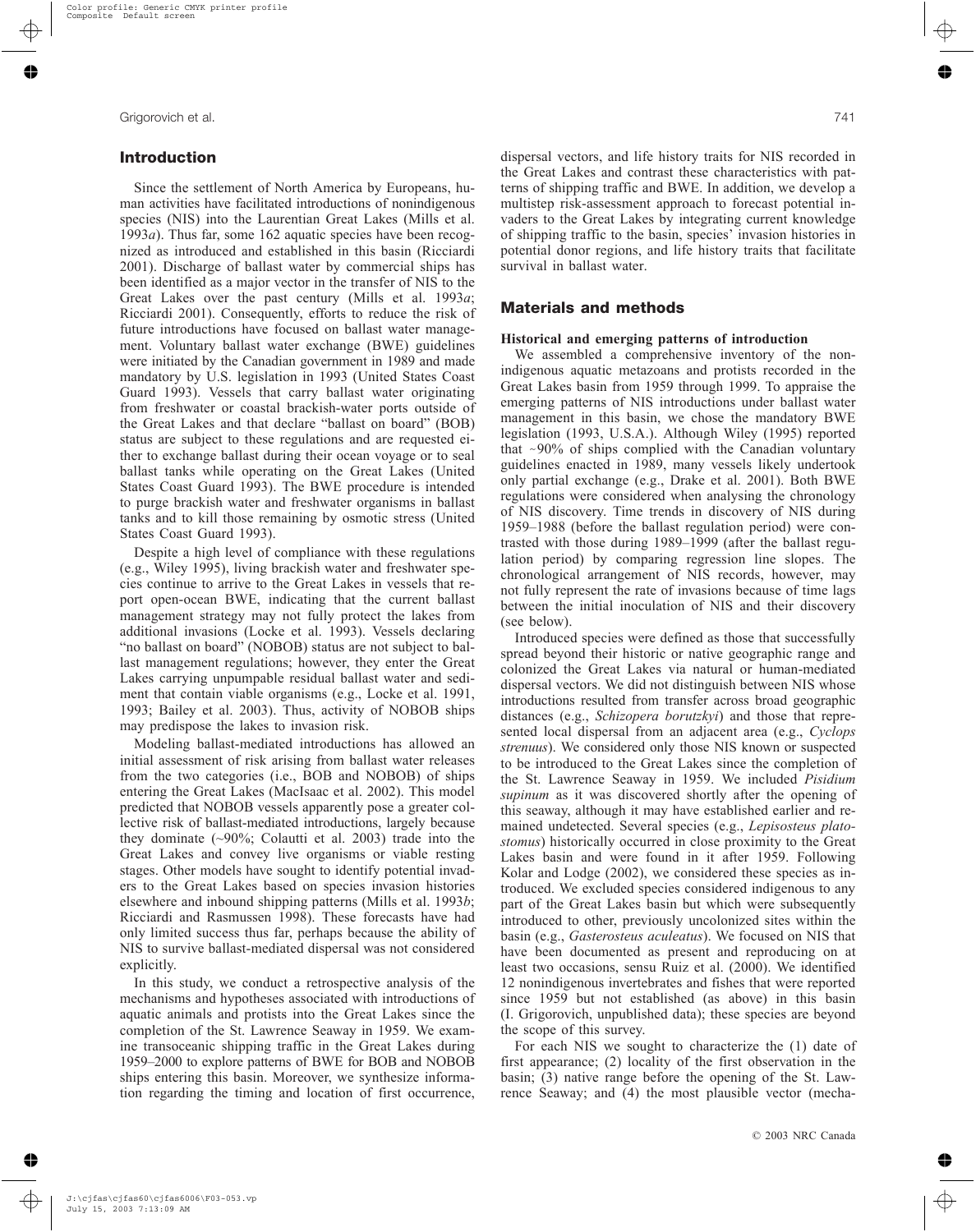# **Introduction**

Since the settlement of North America by Europeans, human activities have facilitated introductions of nonindigenous species (NIS) into the Laurentian Great Lakes (Mills et al. 1993*a*). Thus far, some 162 aquatic species have been recognized as introduced and established in this basin (Ricciardi 2001). Discharge of ballast water by commercial ships has been identified as a major vector in the transfer of NIS to the Great Lakes over the past century (Mills et al. 1993*a*; Ricciardi 2001). Consequently, efforts to reduce the risk of future introductions have focused on ballast water management. Voluntary ballast water exchange (BWE) guidelines were initiated by the Canadian government in 1989 and made mandatory by U.S. legislation in 1993 (United States Coast Guard 1993). Vessels that carry ballast water originating from freshwater or coastal brackish-water ports outside of the Great Lakes and that declare "ballast on board" (BOB) status are subject to these regulations and are requested either to exchange ballast during their ocean voyage or to seal ballast tanks while operating on the Great Lakes (United States Coast Guard 1993). The BWE procedure is intended to purge brackish water and freshwater organisms in ballast tanks and to kill those remaining by osmotic stress (United States Coast Guard 1993).

Despite a high level of compliance with these regulations (e.g., Wiley 1995), living brackish water and freshwater species continue to arrive to the Great Lakes in vessels that report open-ocean BWE, indicating that the current ballast management strategy may not fully protect the lakes from additional invasions (Locke et al. 1993). Vessels declaring "no ballast on board" (NOBOB) status are not subject to ballast management regulations; however, they enter the Great Lakes carrying unpumpable residual ballast water and sediment that contain viable organisms (e.g., Locke et al. 1991, 1993; Bailey et al. 2003). Thus, activity of NOBOB ships may predispose the lakes to invasion risk.

Modeling ballast-mediated introductions has allowed an initial assessment of risk arising from ballast water releases from the two categories (i.e., BOB and NOBOB) of ships entering the Great Lakes (MacIsaac et al. 2002). This model predicted that NOBOB vessels apparently pose a greater collective risk of ballast-mediated introductions, largely because they dominate  $(\sim)0\%$ ; Colautti et al. 2003) trade into the Great Lakes and convey live organisms or viable resting stages. Other models have sought to identify potential invaders to the Great Lakes based on species invasion histories elsewhere and inbound shipping patterns (Mills et al. 1993*b*; Ricciardi and Rasmussen 1998). These forecasts have had only limited success thus far, perhaps because the ability of NIS to survive ballast-mediated dispersal was not considered explicitly.

In this study, we conduct a retrospective analysis of the mechanisms and hypotheses associated with introductions of aquatic animals and protists into the Great Lakes since the completion of the St. Lawrence Seaway in 1959. We examine transoceanic shipping traffic in the Great Lakes during 1959–2000 to explore patterns of BWE for BOB and NOBOB ships entering this basin. Moreover, we synthesize information regarding the timing and location of first occurrence, dispersal vectors, and life history traits for NIS recorded in the Great Lakes and contrast these characteristics with patterns of shipping traffic and BWE. In addition, we develop a multistep risk-assessment approach to forecast potential invaders to the Great Lakes by integrating current knowledge of shipping traffic to the basin, species' invasion histories in potential donor regions, and life history traits that facilitate survival in ballast water.

# **Materials and methods**

#### **Historical and emerging patterns of introduction**

We assembled a comprehensive inventory of the nonindigenous aquatic metazoans and protists recorded in the Great Lakes basin from 1959 through 1999. To appraise the emerging patterns of NIS introductions under ballast water management in this basin, we chose the mandatory BWE legislation (1993, U.S.A.). Although Wiley (1995) reported that  $\sim 90\%$  of ships complied with the Canadian voluntary guidelines enacted in 1989, many vessels likely undertook only partial exchange (e.g., Drake et al. 2001). Both BWE regulations were considered when analysing the chronology of NIS discovery. Time trends in discovery of NIS during 1959–1988 (before the ballast regulation period) were contrasted with those during 1989–1999 (after the ballast regulation period) by comparing regression line slopes. The chronological arrangement of NIS records, however, may not fully represent the rate of invasions because of time lags between the initial inoculation of NIS and their discovery (see below).

Introduced species were defined as those that successfully spread beyond their historic or native geographic range and colonized the Great Lakes via natural or human-mediated dispersal vectors. We did not distinguish between NIS whose introductions resulted from transfer across broad geographic distances (e.g., *Schizopera borutzkyi*) and those that represented local dispersal from an adjacent area (e.g., *Cyclops strenuus*). We considered only those NIS known or suspected to be introduced to the Great Lakes since the completion of the St. Lawrence Seaway in 1959. We included *Pisidium supinum* as it was discovered shortly after the opening of this seaway, although it may have established earlier and remained undetected. Several species (e.g., *Lepisosteus platostomus*) historically occurred in close proximity to the Great Lakes basin and were found in it after 1959. Following Kolar and Lodge (2002), we considered these species as introduced. We excluded species considered indigenous to any part of the Great Lakes basin but which were subsequently introduced to other, previously uncolonized sites within the basin (e.g., *Gasterosteus aculeatus*). We focused on NIS that have been documented as present and reproducing on at least two occasions, sensu Ruiz et al. (2000). We identified 12 nonindigenous invertebrates and fishes that were reported since 1959 but not established (as above) in this basin (I. Grigorovich, unpublished data); these species are beyond the scope of this survey.

For each NIS we sought to characterize the (1) date of first appearance; (2) locality of the first observation in the basin; (3) native range before the opening of the St. Lawrence Seaway; and (4) the most plausible vector (mecha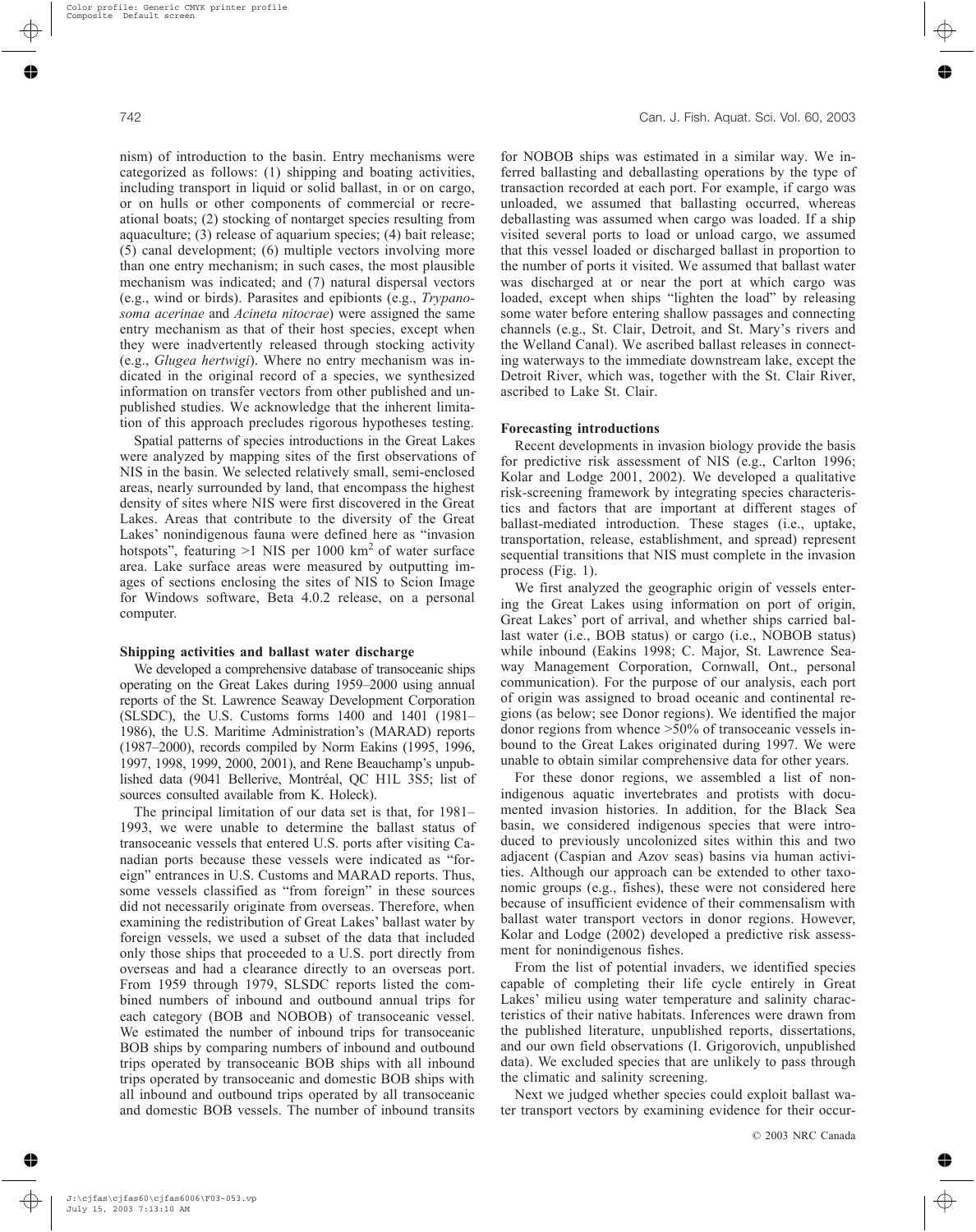nism) of introduction to the basin. Entry mechanisms were categorized as follows: (1) shipping and boating activities, including transport in liquid or solid ballast, in or on cargo, or on hulls or other components of commercial or recreational boats; (2) stocking of nontarget species resulting from aquaculture; (3) release of aquarium species; (4) bait release; (5) canal development; (6) multiple vectors involving more than one entry mechanism; in such cases, the most plausible mechanism was indicated; and (7) natural dispersal vectors (e.g., wind or birds). Parasites and epibionts (e.g., *Trypanosoma acerinae* and *Acineta nitocrae*) were assigned the same entry mechanism as that of their host species, except when they were inadvertently released through stocking activity (e.g., *Glugea hertwigi*). Where no entry mechanism was indicated in the original record of a species, we synthesized information on transfer vectors from other published and unpublished studies. We acknowledge that the inherent limitation of this approach precludes rigorous hypotheses testing.

Spatial patterns of species introductions in the Great Lakes were analyzed by mapping sites of the first observations of NIS in the basin. We selected relatively small, semi-enclosed areas, nearly surrounded by land, that encompass the highest density of sites where NIS were first discovered in the Great Lakes. Areas that contribute to the diversity of the Great Lakes' nonindigenous fauna were defined here as "invasion hotspots", featuring  $>1$  NIS per 1000 km<sup>2</sup> of water surface area. Lake surface areas were measured by outputting images of sections enclosing the sites of NIS to Scion Image for Windows software, Beta 4.0.2 release, on a personal computer.

#### **Shipping activities and ballast water discharge**

We developed a comprehensive database of transoceanic ships operating on the Great Lakes during 1959–2000 using annual reports of the St. Lawrence Seaway Development Corporation (SLSDC), the U.S. Customs forms  $1400$  and  $1401$   $(1981 -$ 1986), the U.S. Maritime Administration's (MARAD) reports  $(1987–2000)$ , records compiled by Norm Eakins  $(1995, 1996, 1996)$ 1997, 1998, 1999, 2000, 2001), and Rene Beauchamp's unpublished data (9041 Bellerive, Montréal, QC H1L 3S5; list of sources consulted available from K. Holeck).

The principal limitation of our data set is that, for 1981– 1993, we were unable to determine the ballast status of transoceanic vessels that entered U.S. ports after visiting Canadian ports because these vessels were indicated as "foreign" entrances in U.S. Customs and MARAD reports. Thus, some vessels classified as "from foreign" in these sources did not necessarily originate from overseas. Therefore, when examining the redistribution of Great Lakes' ballast water by foreign vessels, we used a subset of the data that included only those ships that proceeded to a U.S. port directly from overseas and had a clearance directly to an overseas port. From 1959 through 1979, SLSDC reports listed the combined numbers of inbound and outbound annual trips for each category (BOB and NOBOB) of transoceanic vessel. We estimated the number of inbound trips for transoceanic BOB ships by comparing numbers of inbound and outbound trips operated by transoceanic BOB ships with all inbound trips operated by transoceanic and domestic BOB ships with all inbound and outbound trips operated by all transoceanic and domestic BOB vessels. The number of inbound transits

for NOBOB ships was estimated in a similar way. We inferred ballasting and deballasting operations by the type of transaction recorded at each port. For example, if cargo was unloaded, we assumed that ballasting occurred, whereas deballasting was assumed when cargo was loaded. If a ship visited several ports to load or unload cargo, we assumed that this vessel loaded or discharged ballast in proportion to the number of ports it visited. We assumed that ballast water was discharged at or near the port at which cargo was loaded, except when ships "lighten the load" by releasing some water before entering shallow passages and connecting channels (e.g., St. Clair, Detroit, and St. Mary's rivers and the Welland Canal). We ascribed ballast releases in connecting waterways to the immediate downstream lake, except the Detroit River, which was, together with the St. Clair River, ascribed to Lake St. Clair.

#### **Forecasting introductions**

Recent developments in invasion biology provide the basis for predictive risk assessment of NIS (e.g., Carlton 1996; Kolar and Lodge 2001, 2002). We developed a qualitative risk-screening framework by integrating species characteristics and factors that are important at different stages of ballast-mediated introduction. These stages (i.e., uptake, transportation, release, establishment, and spread) represent sequential transitions that NIS must complete in the invasion process (Fig. 1).

We first analyzed the geographic origin of vessels entering the Great Lakes using information on port of origin, Great Lakes' port of arrival, and whether ships carried ballast water (i.e., BOB status) or cargo (i.e., NOBOB status) while inbound (Eakins 1998; C. Major, St. Lawrence Seaway Management Corporation, Cornwall, Ont., personal communication). For the purpose of our analysis, each port of origin was assigned to broad oceanic and continental regions (as below; see Donor regions). We identified the major donor regions from whence >50% of transoceanic vessels inbound to the Great Lakes originated during 1997. We were unable to obtain similar comprehensive data for other years.

For these donor regions, we assembled a list of nonindigenous aquatic invertebrates and protists with documented invasion histories. In addition, for the Black Sea basin, we considered indigenous species that were introduced to previously uncolonized sites within this and two adjacent (Caspian and Azov seas) basins via human activities. Although our approach can be extended to other taxonomic groups (e.g., fishes), these were not considered here because of insufficient evidence of their commensalism with ballast water transport vectors in donor regions. However, Kolar and Lodge (2002) developed a predictive risk assessment for nonindigenous fishes.

From the list of potential invaders, we identified species capable of completing their life cycle entirely in Great Lakes' milieu using water temperature and salinity characteristics of their native habitats. Inferences were drawn from the published literature, unpublished reports, dissertations, and our own field observations (I. Grigorovich, unpublished data). We excluded species that are unlikely to pass through the climatic and salinity screening.

Next we judged whether species could exploit ballast water transport vectors by examining evidence for their occur-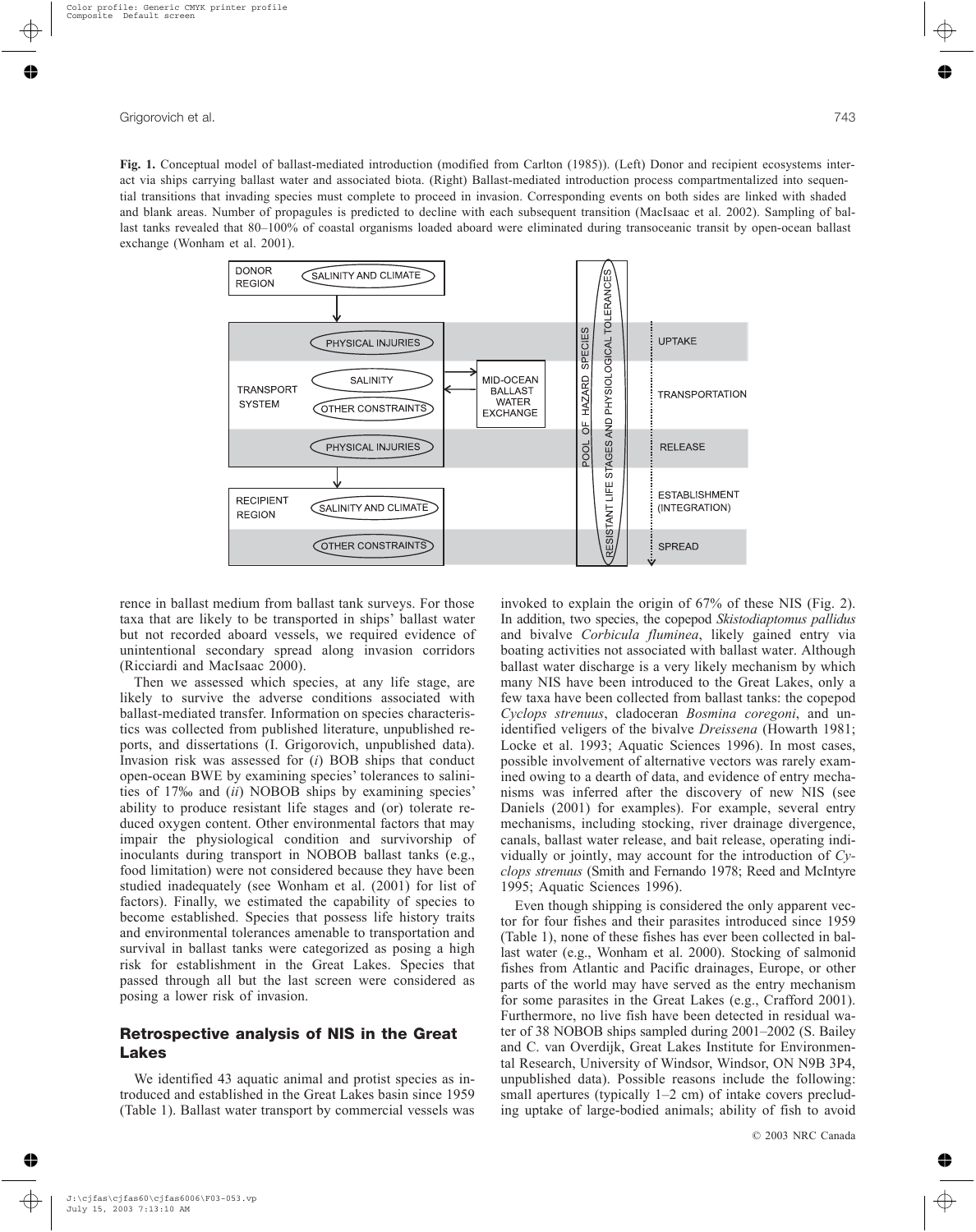**Fig. 1.** Conceptual model of ballast-mediated introduction (modified from Carlton (1985)). (Left) Donor and recipient ecosystems interact via ships carrying ballast water and associated biota. (Right) Ballast-mediated introduction process compartmentalized into sequential transitions that invading species must complete to proceed in invasion. Corresponding events on both sides are linked with shaded and blank areas. Number of propagules is predicted to decline with each subsequent transition (MacIsaac et al. 2002). Sampling of ballast tanks revealed that 80–100% of coastal organisms loaded aboard were eliminated during transoceanic transit by open-ocean ballast exchange (Wonham et al. 2001).



rence in ballast medium from ballast tank surveys. For those taxa that are likely to be transported in ships' ballast water but not recorded aboard vessels, we required evidence of unintentional secondary spread along invasion corridors (Ricciardi and MacIsaac 2000).

Then we assessed which species, at any life stage, are likely to survive the adverse conditions associated with ballast-mediated transfer. Information on species characteristics was collected from published literature, unpublished reports, and dissertations (I. Grigorovich, unpublished data). Invasion risk was assessed for (*i*) BOB ships that conduct open-ocean BWE by examining species' tolerances to salinities of 17<sup>%</sup> and *(ii)* NOBOB ships by examining species<sup>\*</sup> ability to produce resistant life stages and (or) tolerate reduced oxygen content. Other environmental factors that may impair the physiological condition and survivorship of inoculants during transport in NOBOB ballast tanks (e.g., food limitation) were not considered because they have been studied inadequately (see Wonham et al. (2001) for list of factors). Finally, we estimated the capability of species to become established. Species that possess life history traits and environmental tolerances amenable to transportation and survival in ballast tanks were categorized as posing a high risk for establishment in the Great Lakes. Species that passed through all but the last screen were considered as posing a lower risk of invasion.

# **Retrospective analysis of NIS in the Great Lakes**

We identified 43 aquatic animal and protist species as introduced and established in the Great Lakes basin since 1959 (Table 1). Ballast water transport by commercial vessels was invoked to explain the origin of 67% of these NIS (Fig. 2). In addition, two species, the copepod *Skistodiaptomus pallidus* and bivalve *Corbicula fluminea*, likely gained entry via boating activities not associated with ballast water. Although ballast water discharge is a very likely mechanism by which many NIS have been introduced to the Great Lakes, only a few taxa have been collected from ballast tanks: the copepod *Cyclops strenuus*, cladoceran *Bosmina coregoni*, and unidentified veligers of the bivalve *Dreissena* (Howarth 1981; Locke et al. 1993; Aquatic Sciences 1996). In most cases, possible involvement of alternative vectors was rarely examined owing to a dearth of data, and evidence of entry mechanisms was inferred after the discovery of new NIS (see Daniels (2001) for examples). For example, several entry mechanisms, including stocking, river drainage divergence, canals, ballast water release, and bait release, operating individually or jointly, may account for the introduction of *Cyclops strenuus* (Smith and Fernando 1978; Reed and McIntyre 1995; Aquatic Sciences 1996).

Even though shipping is considered the only apparent vector for four fishes and their parasites introduced since 1959 (Table 1), none of these fishes has ever been collected in ballast water (e.g., Wonham et al. 2000). Stocking of salmonid fishes from Atlantic and Pacific drainages, Europe, or other parts of the world may have served as the entry mechanism for some parasites in the Great Lakes (e.g., Crafford 2001). Furthermore, no live fish have been detected in residual water of 38 NOBOB ships sampled during 2001–2002 (S. Bailey and C. van Overdijk, Great Lakes Institute for Environmental Research, University of Windsor, Windsor, ON N9B 3P4, unpublished data). Possible reasons include the following: small apertures (typically  $1-2$  cm) of intake covers precluding uptake of large-bodied animals; ability of fish to avoid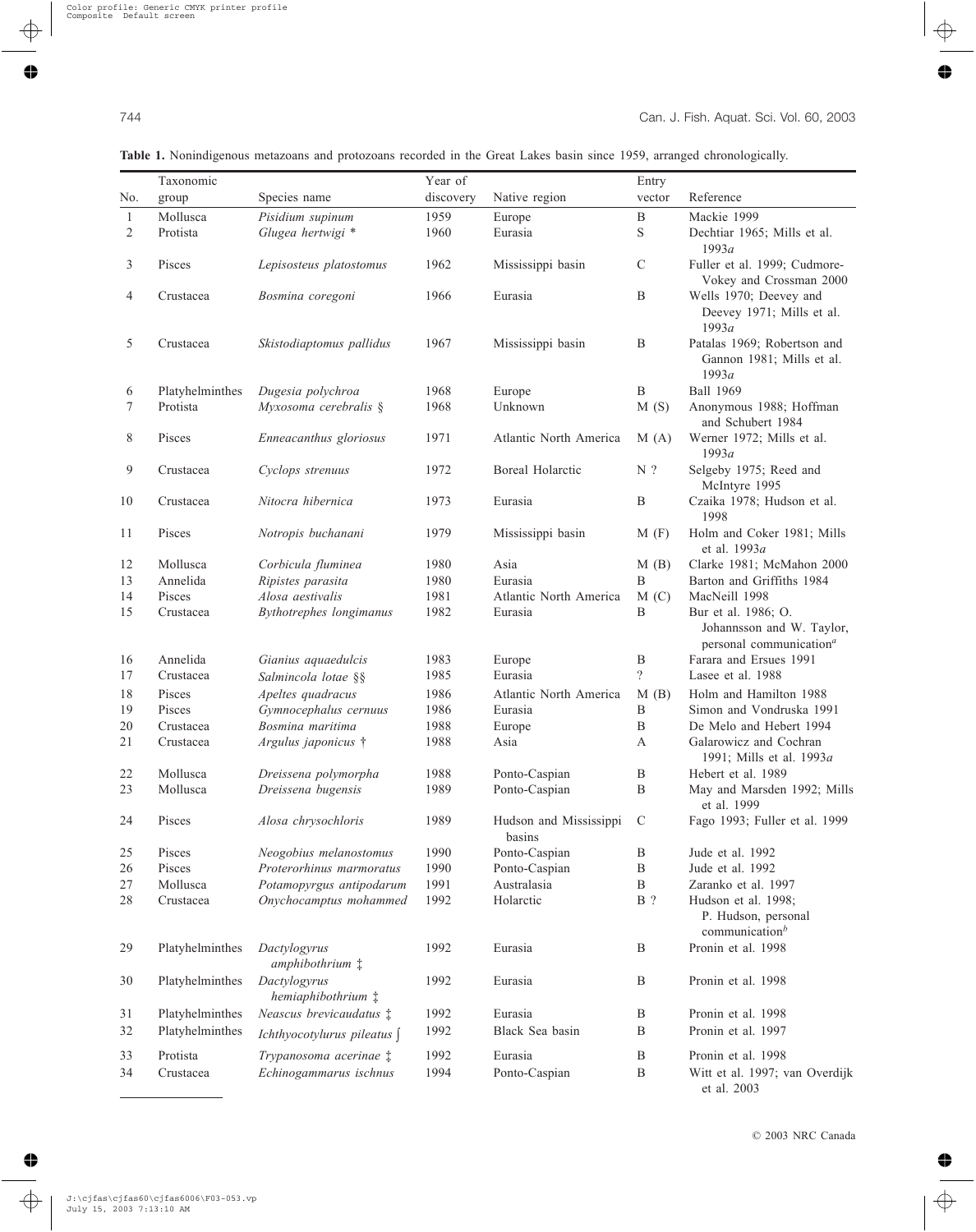|                | Taxonomic       |                                             | Year of   |                                  | Entry          |                                                                                         |
|----------------|-----------------|---------------------------------------------|-----------|----------------------------------|----------------|-----------------------------------------------------------------------------------------|
| No.            | group           | Species name                                | discovery | Native region                    | vector         | Reference                                                                               |
| 1              | Mollusca        | Pisidium supinum                            | 1959      | Europe                           | $\, {\bf B}$   | Mackie 1999                                                                             |
| $\overline{2}$ | Protista        | Glugea hertwigi *                           | 1960      | Eurasia                          | S              | Dechtiar 1965; Mills et al.<br>1993a                                                    |
| 3              | Pisces          | Lepisosteus platostomus                     | 1962      | Mississippi basin                | $\mathcal{C}$  | Fuller et al. 1999; Cudmore-<br>Vokey and Crossman 2000                                 |
| $\overline{4}$ | Crustacea       | Bosmina coregoni                            | 1966      | Eurasia                          | B              | Wells 1970; Deevey and<br>Deevey 1971; Mills et al.<br>1993a                            |
| 5              | Crustacea       | Skistodiaptomus pallidus                    | 1967      | Mississippi basin                | B              | Patalas 1969; Robertson and<br>Gannon 1981; Mills et al.<br>1993a                       |
| 6              | Platyhelminthes | Dugesia polychroa                           | 1968      | Europe                           | B              | <b>Ball 1969</b>                                                                        |
| 7              | Protista        | Myxosoma cerebralis §                       | 1968      | Unknown                          | M(S)           | Anonymous 1988; Hoffman<br>and Schubert 1984                                            |
| 8              | Pisces          | Enneacanthus gloriosus                      | 1971      | Atlantic North America           | M(A)           | Werner 1972; Mills et al.<br>1993a                                                      |
| 9              | Crustacea       | Cyclops strenuus                            | 1972      | Boreal Holarctic                 | N <sub>2</sub> | Selgeby 1975; Reed and<br>McIntyre 1995                                                 |
| 10             | Crustacea       | Nitocra hibernica                           | 1973      | Eurasia                          | B              | Czaika 1978; Hudson et al.<br>1998                                                      |
| 11             | Pisces          | Notropis buchanani                          | 1979      | Mississippi basin                | M(F)           | Holm and Coker 1981; Mills<br>et al. 1993a                                              |
| 12             | Mollusca        | Corbicula fluminea                          | 1980      | Asia                             | M(B)           | Clarke 1981; McMahon 2000                                                               |
| 13             | Annelida        | Ripistes parasita                           | 1980      | Eurasia                          | B              | Barton and Griffiths 1984                                                               |
| 14             | Pisces          | Alosa aestivalis                            | 1981      | Atlantic North America           | M(C)           | MacNeill 1998                                                                           |
| 15             | Crustacea       | Bythotrephes longimanus                     | 1982      | Eurasia                          | B              | Bur et al. 1986; O.<br>Johannsson and W. Taylor,<br>personal communication <sup>a</sup> |
| 16             | Annelida        | Gianius aquaedulcis                         | 1983      | Europe                           | B              | Farara and Ersues 1991                                                                  |
| 17             | Crustacea       | Salmincola lotae §§                         | 1985      | Eurasia                          | $\overline{?}$ | Lasee et al. 1988                                                                       |
| 18             | Pisces          | Apeltes quadracus                           | 1986      | Atlantic North America           | M(B)           | Holm and Hamilton 1988                                                                  |
| 19             | Pisces          | Gymnocephalus cernuus                       | 1986      | Eurasia                          | B              | Simon and Vondruska 1991                                                                |
| 20             | Crustacea       | Bosmina maritima                            | 1988      | Europe                           | $\mathbf{B}$   | De Melo and Hebert 1994                                                                 |
| 21             | Crustacea       | Argulus japonicus †                         | 1988      | Asia                             | A              | Galarowicz and Cochran<br>1991; Mills et al. 1993a                                      |
| 22             | Mollusca        | Dreissena polymorpha                        | 1988      | Ponto-Caspian                    | B              | Hebert et al. 1989                                                                      |
| 23             | Mollusca        | Dreissena bugensis                          | 1989      | Ponto-Caspian                    | $\mathbf{B}$   | May and Marsden 1992; Mills<br>et al. 1999                                              |
| 24             | Pisces          | Alosa chrysochloris                         | 1989      | Hudson and Mississippi<br>basins | $\mathcal{C}$  | Fago 1993; Fuller et al. 1999                                                           |
| 25             | Pisces          | Neogobius melanostomus                      | 1990      | Ponto-Caspian                    | B              | Jude et al. 1992                                                                        |
| 26             | Pisces          | Proterorhinus marmoratus                    | 1990      | Ponto-Caspian                    | $\, {\bf B}$   | Jude et al. 1992                                                                        |
| 27             | Mollusca        | Potamopyrgus antipodarum                    | 1991      | Australasia                      | B              | Zaranko et al. 1997                                                                     |
| 28             | Crustacea       | Onychocamptus mohammed                      | 1992      | Holarctic                        | <b>B</b> ?     | Hudson et al. 1998;<br>P. Hudson, personal<br>communication <sup>b</sup>                |
| 29             | Platyhelminthes | Dactylogyrus<br>amphibothrium $\ddagger$    | 1992      | Eurasia                          | B              | Pronin et al. 1998                                                                      |
| 30             | Platyhelminthes | Dactylogyrus<br>hemiaphibothrium $\ddagger$ | 1992      | Eurasia                          | B              | Pronin et al. 1998                                                                      |
| 31             | Platyhelminthes | Neascus brevicaudatus :                     | 1992      | Eurasia                          | B              | Pronin et al. 1998                                                                      |
| 32             | Platyhelminthes | Ichthyocotylurus pileatus [                 | 1992      | Black Sea basin                  | B              | Pronin et al. 1997                                                                      |
| 33             | Protista        | Trypanosoma acerinae :                      | 1992      | Eurasia                          | B              | Pronin et al. 1998                                                                      |
| 34             | Crustacea       | Echinogammarus ischnus                      | 1994      | Ponto-Caspian                    | B              | Witt et al. 1997; van Overdijk<br>et al. 2003                                           |

**Table 1.** Nonindigenous metazoans and protozoans recorded in the Great Lakes basin since 1959, arranged chronologically.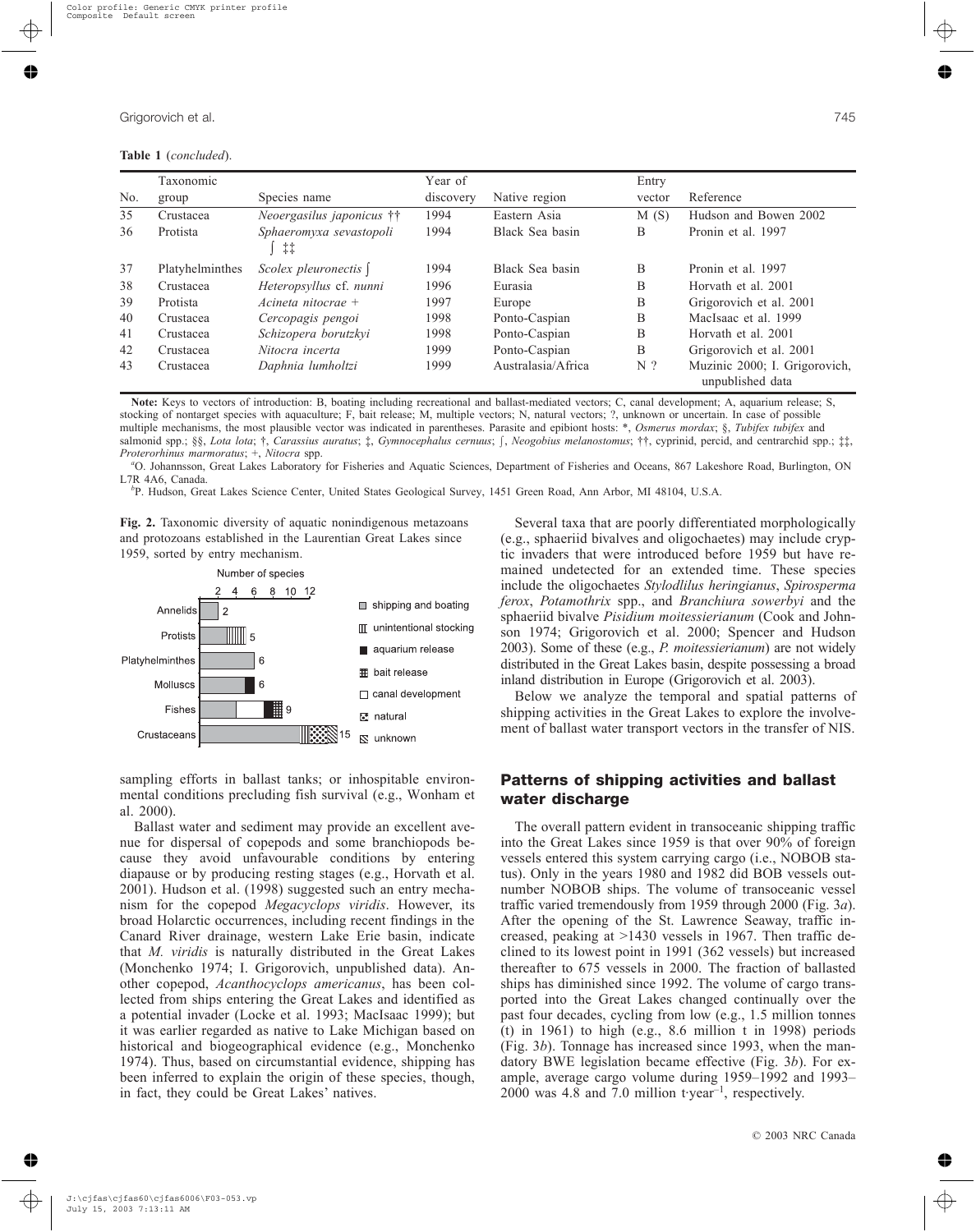**Table 1** (*concluded*).

|     | Taxonomic       |                              | Year of   |                    | Entry  |                                                   |
|-----|-----------------|------------------------------|-----------|--------------------|--------|---------------------------------------------------|
| No. | group           | Species name                 | discovery | Native region      | vector | Reference                                         |
| 35  | Crustacea       | Neoergasilus japonicus ††    | 1994      | Eastern Asia       | M(S)   | Hudson and Bowen 2002                             |
| 36  | Protista        | Sphaeromyxa sevastopoli<br># | 1994      | Black Sea basin    | B.     | Pronin et al. 1997                                |
| 37  | Platyhelminthes | Scolex pleuronectis [        | 1994      | Black Sea basin    | B      | Pronin et al. 1997                                |
| 38  | Crustacea       | Heteropsyllus cf. nunni      | 1996      | Eurasia            | B      | Horvath et al. 2001                               |
| 39  | Protista        | Acineta nitocrae +           | 1997      | Europe             | Β      | Grigorovich et al. 2001                           |
| 40  | Crustacea       | Cercopagis pengoi            | 1998      | Ponto-Caspian      | B      | MacIsaac et al. 1999                              |
| 41  | Crustacea       | Schizopera borutzkyi         | 1998      | Ponto-Caspian      | B      | Horvath et al. 2001                               |
| 42  | Crustacea       | Nitocra incerta              | 1999      | Ponto-Caspian      | B      | Grigorovich et al. 2001                           |
| 43  | Crustacea       | Daphnia lumholtzi            | 1999      | Australasia/Africa | $N$ ?  | Muzinic 2000; I. Grigorovich,<br>unpublished data |

**Note:** Keys to vectors of introduction: B, boating including recreational and ballast-mediated vectors; C, canal development; A, aquarium release; S, stocking of nontarget species with aquaculture; F, bait release; M, multiple vectors; N, natural vectors; ?, unknown or uncertain. In case of possible multiple mechanisms, the most plausible vector was indicated in parentheses. Parasite and epibiont hosts: \*, *Osmerus mordax*; ß, *Tubifex tubifex* and salmonid spp.; §§, *Lota lota*; †, *Carassius auratus*; ‡, *Gymnocephalus cernuus*; ∫, *Neogobius melanostomus*; ††, cyprinid, percid, and centrarchid spp.; ‡‡, *Proterorhinus marmoratus*; +, *Nitocra* spp.

*a* O. Johannsson, Great Lakes Laboratory for Fisheries and Aquatic Sciences, Department of Fisheries and Oceans, 867 Lakeshore Road, Burlington, ON L7R 4A6, Canada.

*b* P. Hudson, Great Lakes Science Center, United States Geological Survey, 1451 Green Road, Ann Arbor, MI 48104, U.S.A.

**Fig. 2.** Taxonomic diversity of aquatic nonindigenous metazoans and protozoans established in the Laurentian Great Lakes since 1959, sorted by entry mechanism.



sampling efforts in ballast tanks; or inhospitable environmental conditions precluding fish survival (e.g., Wonham et al. 2000).

Ballast water and sediment may provide an excellent avenue for dispersal of copepods and some branchiopods because they avoid unfavourable conditions by entering diapause or by producing resting stages (e.g., Horvath et al. 2001). Hudson et al. (1998) suggested such an entry mechanism for the copepod *Megacyclops viridis*. However, its broad Holarctic occurrences, including recent findings in the Canard River drainage, western Lake Erie basin, indicate that *M. viridis* is naturally distributed in the Great Lakes (Monchenko 1974; I. Grigorovich, unpublished data). Another copepod, *Acanthocyclops americanus*, has been collected from ships entering the Great Lakes and identified as a potential invader (Locke et al. 1993; MacIsaac 1999); but it was earlier regarded as native to Lake Michigan based on historical and biogeographical evidence (e.g., Monchenko 1974). Thus, based on circumstantial evidence, shipping has been inferred to explain the origin of these species, though, in fact, they could be Great Lakes' natives.

Several taxa that are poorly differentiated morphologically (e.g., sphaeriid bivalves and oligochaetes) may include cryptic invaders that were introduced before 1959 but have remained undetected for an extended time. These species include the oligochaetes *Stylodlilus heringianus*, *Spirosperma ferox*, *Potamothrix* spp., and *Branchiura sowerbyi* and the sphaeriid bivalve *Pisidium moitessierianum* (Cook and Johnson 1974; Grigorovich et al. 2000; Spencer and Hudson 2003). Some of these (e.g., *P. moitessierianum*) are not widely distributed in the Great Lakes basin, despite possessing a broad inland distribution in Europe (Grigorovich et al. 2003).

Below we analyze the temporal and spatial patterns of shipping activities in the Great Lakes to explore the involvement of ballast water transport vectors in the transfer of NIS.

# **Patterns of shipping activities and ballast water discharge**

The overall pattern evident in transoceanic shipping traffic into the Great Lakes since 1959 is that over 90% of foreign vessels entered this system carrying cargo (i.e., NOBOB status). Only in the years 1980 and 1982 did BOB vessels outnumber NOBOB ships. The volume of transoceanic vessel traffic varied tremendously from 1959 through 2000 (Fig. 3*a*). After the opening of the St. Lawrence Seaway, traffic increased, peaking at >1430 vessels in 1967. Then traffic declined to its lowest point in 1991 (362 vessels) but increased thereafter to 675 vessels in 2000. The fraction of ballasted ships has diminished since 1992. The volume of cargo transported into the Great Lakes changed continually over the past four decades, cycling from low (e.g., 1.5 million tonnes (t) in 1961) to high (e.g., 8.6 million  $t$  in 1998) periods (Fig. 3*b*). Tonnage has increased since 1993, when the mandatory BWE legislation became effective (Fig. 3*b*). For example, average cargo volume during 1959–1992 and 1993– 2000 was 4.8 and 7.0 million t $year^{-1}$ , respectively.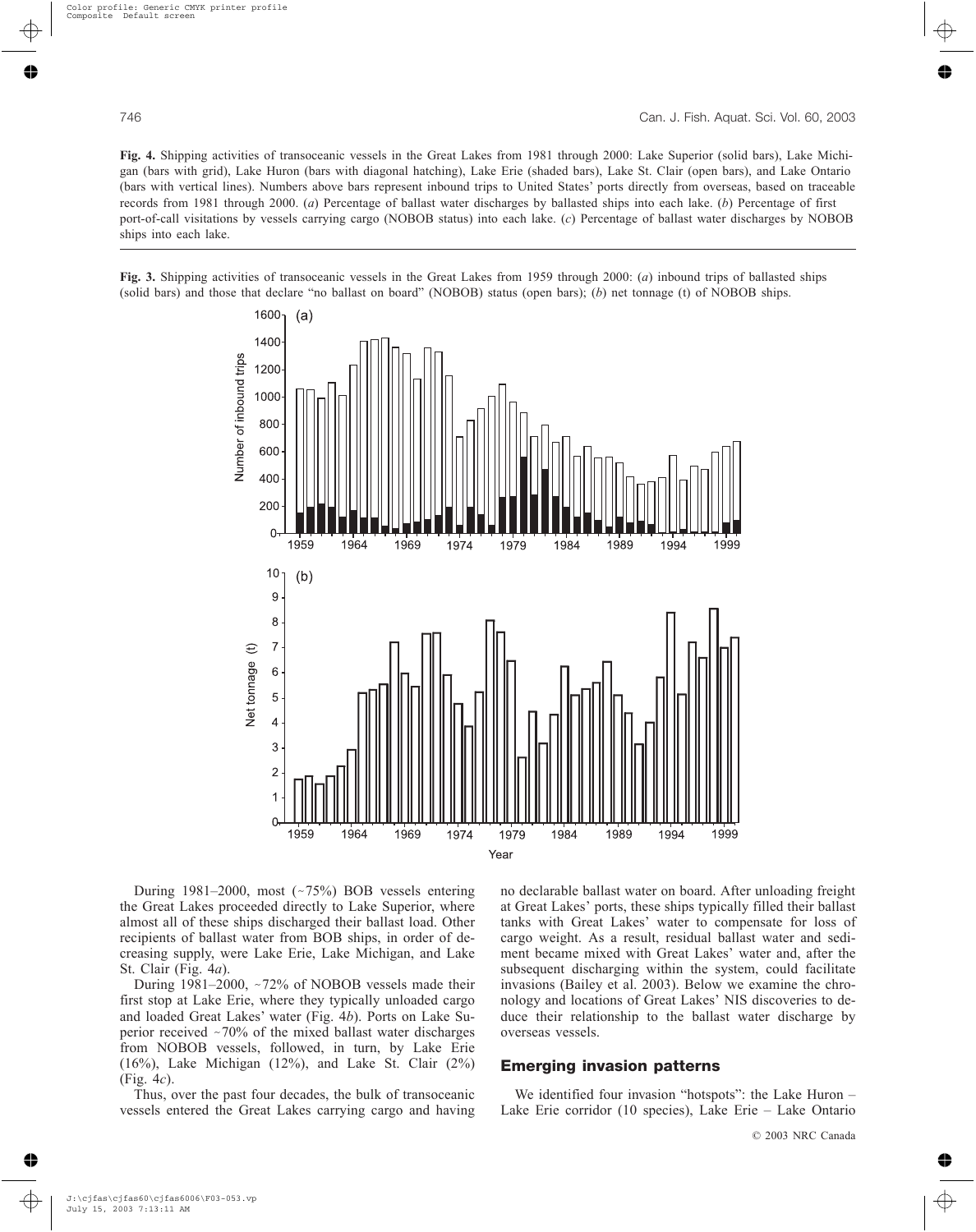**Fig. 4.** Shipping activities of transoceanic vessels in the Great Lakes from 1981 through 2000: Lake Superior (solid bars), Lake Michigan (bars with grid), Lake Huron (bars with diagonal hatching), Lake Erie (shaded bars), Lake St. Clair (open bars), and Lake Ontario (bars with vertical lines). Numbers above bars represent inbound trips to United States' ports directly from overseas, based on traceable records from 1981 through 2000. (*a*) Percentage of ballast water discharges by ballasted ships into each lake. (*b*) Percentage of first port-of-call visitations by vessels carrying cargo (NOBOB status) into each lake. (*c*) Percentage of ballast water discharges by NOBOB ships into each lake.

**Fig. 3.** Shipping activities of transoceanic vessels in the Great Lakes from 1959 through 2000: (*a*) inbound trips of ballasted ships (solid bars) and those that declare "no ballast on board" (NOBOB) status (open bars); (b) net tonnage (t) of NOBOB ships.



During 1981–2000, most  $(-75%)$  BOB vessels entering the Great Lakes proceeded directly to Lake Superior, where almost all of these ships discharged their ballast load. Other recipients of ballast water from BOB ships, in order of decreasing supply, were Lake Erie, Lake Michigan, and Lake St. Clair (Fig. 4*a*).

During 1981–2000,  $\sim$  72% of NOBOB vessels made their first stop at Lake Erie, where they typically unloaded cargo and loaded Great Lakes' water (Fig. 4b). Ports on Lake Superior received  $\sim$  70% of the mixed ballast water discharges from NOBOB vessels, followed, in turn, by Lake Erie (16%), Lake Michigan (12%), and Lake St. Clair (2%) (Fig. 4*c*).

Thus, over the past four decades, the bulk of transoceanic vessels entered the Great Lakes carrying cargo and having no declarable ballast water on board. After unloading freight at Great Lakes' ports, these ships typically filled their ballast tanks with Great Lakes' water to compensate for loss of cargo weight. As a result, residual ballast water and sediment became mixed with Great Lakes' water and, after the subsequent discharging within the system, could facilitate invasions (Bailey et al. 2003). Below we examine the chronology and locations of Great Lakes' NIS discoveries to deduce their relationship to the ballast water discharge by overseas vessels.

# **Emerging invasion patterns**

We identified four invasion "hotspots": the Lake Huron  $-$ Lake Erie corridor (10 species), Lake Erie  $-$  Lake Ontario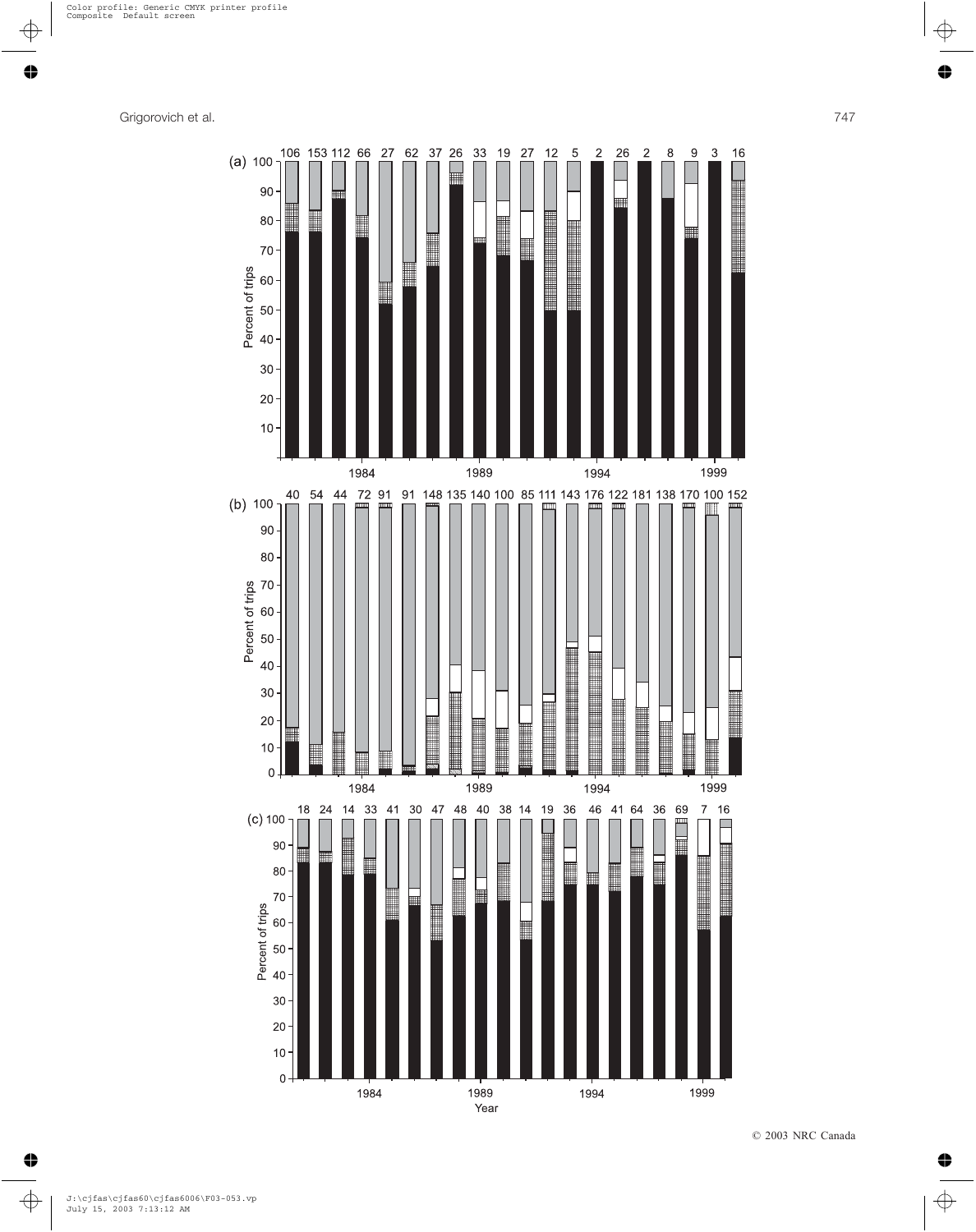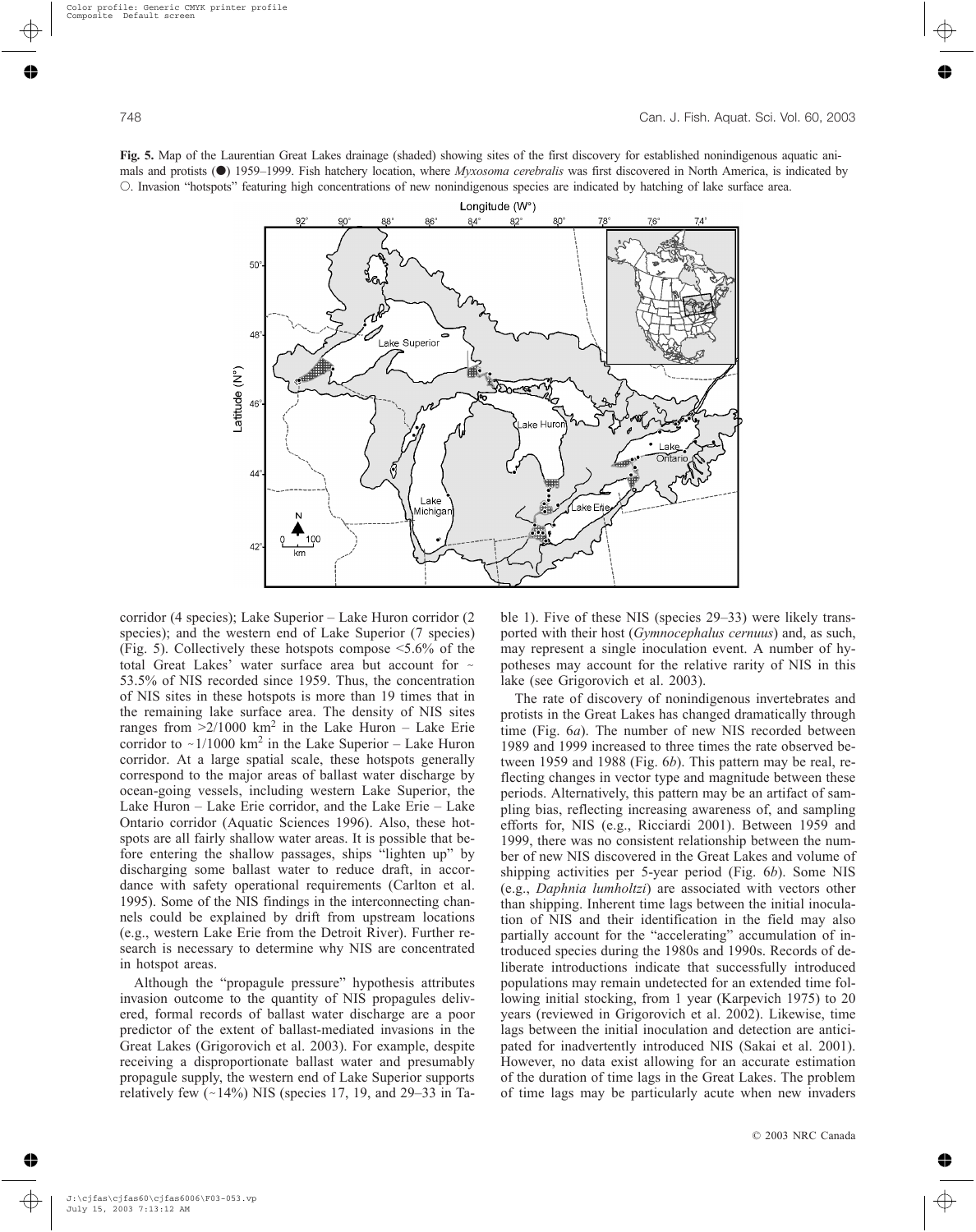**Fig. 5.** Map of the Laurentian Great Lakes drainage (shaded) showing sites of the first discovery for established nonindigenous aquatic animals and protists ( $\bullet$ ) 1959–1999. Fish hatchery location, where *Myxosoma cerebralis* was first discovered in North America, is indicated by  $\circ$ . Invasion "hotspots" featuring high concentrations of new nonindigenous species are indicated by hatching of lake surface area.



corridor (4 species); Lake Superior  $-$  Lake Huron corridor (2 species); and the western end of Lake Superior (7 species) (Fig. 5). Collectively these hotspots compose <5.6% of the total Great Lakes' water surface area but account for ~ 53.5% of NIS recorded since 1959. Thus, the concentration of NIS sites in these hotspots is more than 19 times that in the remaining lake surface area. The density of NIS sites ranges from  $>2/1000$  km<sup>2</sup> in the Lake Huron – Lake Erie corridor to  $\sim 1/1000$  km<sup>2</sup> in the Lake Superior – Lake Huron corridor. At a large spatial scale, these hotspots generally correspond to the major areas of ballast water discharge by ocean-going vessels, including western Lake Superior, the Lake Huron  $-$  Lake Erie corridor, and the Lake Erie  $-$  Lake Ontario corridor (Aquatic Sciences 1996). Also, these hotspots are all fairly shallow water areas. It is possible that before entering the shallow passages, ships "lighten up" by discharging some ballast water to reduce draft, in accordance with safety operational requirements (Carlton et al. 1995). Some of the NIS findings in the interconnecting channels could be explained by drift from upstream locations (e.g., western Lake Erie from the Detroit River). Further research is necessary to determine why NIS are concentrated in hotspot areas.

Although the "propagule pressure" hypothesis attributes invasion outcome to the quantity of NIS propagules delivered, formal records of ballast water discharge are a poor predictor of the extent of ballast-mediated invasions in the Great Lakes (Grigorovich et al. 2003). For example, despite receiving a disproportionate ballast water and presumably propagule supply, the western end of Lake Superior supports relatively few  $(-14\%)$  NIS (species 17, 19, and 29–33 in Table 1). Five of these NIS (species  $29-33$ ) were likely transported with their host (*Gymnocephalus cernuus*) and, as such, may represent a single inoculation event. A number of hypotheses may account for the relative rarity of NIS in this lake (see Grigorovich et al. 2003).

The rate of discovery of nonindigenous invertebrates and protists in the Great Lakes has changed dramatically through time (Fig. 6*a*). The number of new NIS recorded between 1989 and 1999 increased to three times the rate observed between 1959 and 1988 (Fig. 6*b*). This pattern may be real, reflecting changes in vector type and magnitude between these periods. Alternatively, this pattern may be an artifact of sampling bias, reflecting increasing awareness of, and sampling efforts for, NIS (e.g., Ricciardi 2001). Between 1959 and 1999, there was no consistent relationship between the number of new NIS discovered in the Great Lakes and volume of shipping activities per 5-year period (Fig. 6*b*). Some NIS (e.g., *Daphnia lumholtzi*) are associated with vectors other than shipping. Inherent time lags between the initial inoculation of NIS and their identification in the field may also partially account for the "accelerating" accumulation of introduced species during the 1980s and 1990s. Records of deliberate introductions indicate that successfully introduced populations may remain undetected for an extended time following initial stocking, from 1 year (Karpevich 1975) to 20 years (reviewed in Grigorovich et al. 2002). Likewise, time lags between the initial inoculation and detection are anticipated for inadvertently introduced NIS (Sakai et al. 2001). However, no data exist allowing for an accurate estimation of the duration of time lags in the Great Lakes. The problem of time lags may be particularly acute when new invaders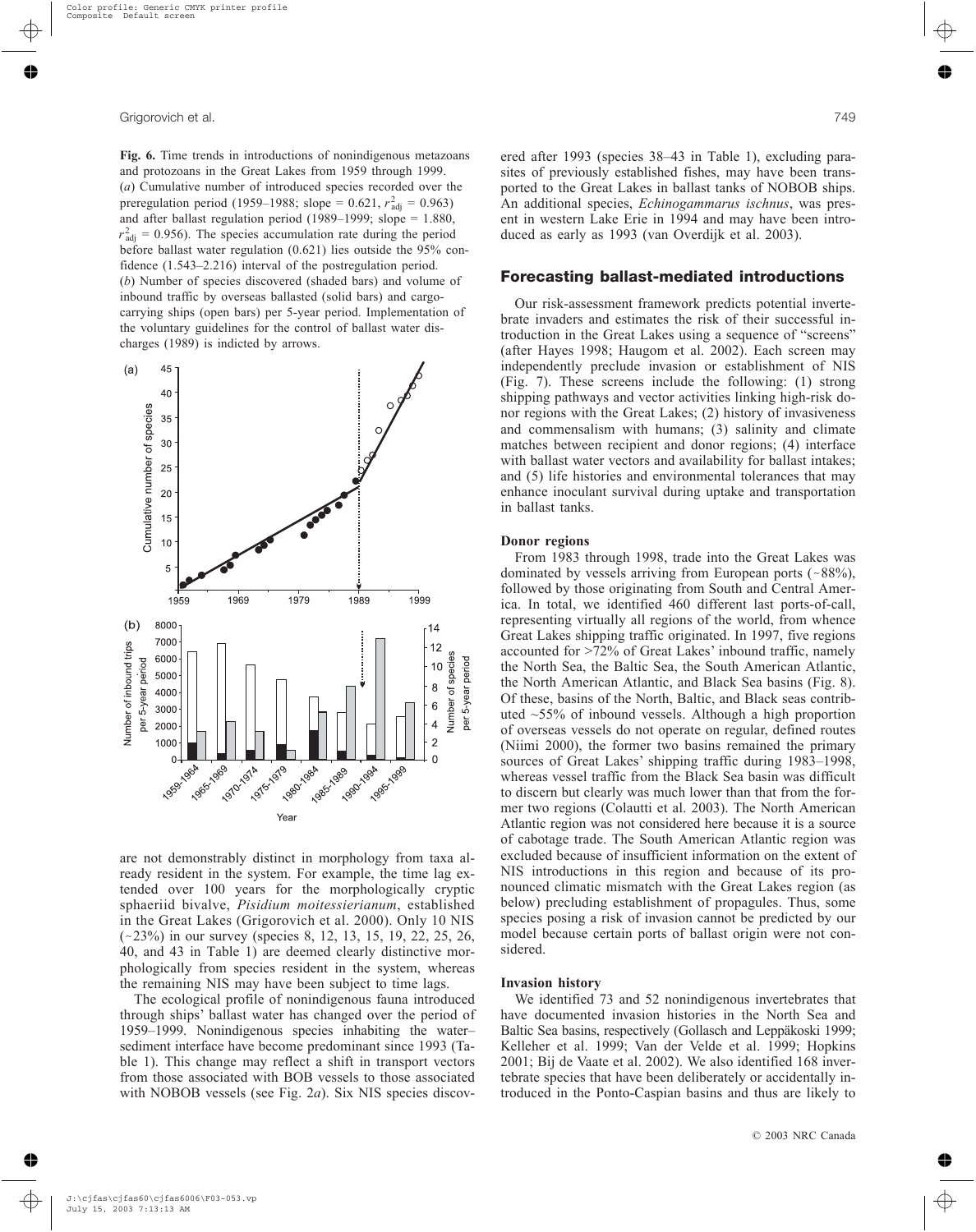**Fig. 6.** Time trends in introductions of nonindigenous metazoans and protozoans in the Great Lakes from 1959 through 1999. (*a*) Cumulative number of introduced species recorded over the preregulation period (1959–1988; slope = 0.621,  $r_{\text{adj}}^2 = 0.963$ ) and after ballast regulation period (1989–1999; slope = 1.880,  $r_{\text{adj}}^2 = 0.956$ ). The species accumulation rate during the period before ballast water regulation (0.621) lies outside the 95% confidence  $(1.543-2.216)$  interval of the postregulation period. (*b*) Number of species discovered (shaded bars) and volume of inbound traffic by overseas ballasted (solid bars) and cargocarrying ships (open bars) per 5-year period. Implementation of the voluntary guidelines for the control of ballast water discharges (1989) is indicted by arrows.



are not demonstrably distinct in morphology from taxa already resident in the system. For example, the time lag extended over 100 years for the morphologically cryptic sphaeriid bivalve, *Pisidium moitessierianum*, established in the Great Lakes (Grigorovich et al. 2000). Only 10 NIS (23%) in our survey (species 8, 12, 13, 15, 19, 22, 25, 26, 40, and 43 in Table 1) are deemed clearly distinctive morphologically from species resident in the system, whereas the remaining NIS may have been subject to time lags.

The ecological profile of nonindigenous fauna introduced through ships' ballast water has changed over the period of 1959–1999. Nonindigenous species inhabiting the watersediment interface have become predominant since 1993 (Table 1). This change may reflect a shift in transport vectors from those associated with BOB vessels to those associated with NOBOB vessels (see Fig. 2*a*). Six NIS species discovered after 1993 (species 38–43 in Table 1), excluding parasites of previously established fishes, may have been transported to the Great Lakes in ballast tanks of NOBOB ships. An additional species, *Echinogammarus ischnus*, was present in western Lake Erie in 1994 and may have been introduced as early as 1993 (van Overdijk et al. 2003).

# **Forecasting ballast-mediated introductions**

Our risk-assessment framework predicts potential invertebrate invaders and estimates the risk of their successful introduction in the Great Lakes using a sequence of "screens" (after Hayes 1998; Haugom et al. 2002). Each screen may independently preclude invasion or establishment of NIS (Fig. 7). These screens include the following: (1) strong shipping pathways and vector activities linking high-risk donor regions with the Great Lakes; (2) history of invasiveness and commensalism with humans; (3) salinity and climate matches between recipient and donor regions; (4) interface with ballast water vectors and availability for ballast intakes; and (5) life histories and environmental tolerances that may enhance inoculant survival during uptake and transportation in ballast tanks.

#### **Donor regions**

From 1983 through 1998, trade into the Great Lakes was dominated by vessels arriving from European ports  $(-88\%)$ , followed by those originating from South and Central America. In total, we identified 460 different last ports-of-call, representing virtually all regions of the world, from whence Great Lakes shipping traffic originated. In 1997, five regions accounted for  $>72\%$  of Great Lakes' inbound traffic, namely the North Sea, the Baltic Sea, the South American Atlantic, the North American Atlantic, and Black Sea basins (Fig. 8). Of these, basins of the North, Baltic, and Black seas contributed ~55% of inbound vessels. Although a high proportion of overseas vessels do not operate on regular, defined routes (Niimi 2000), the former two basins remained the primary sources of Great Lakes' shipping traffic during 1983-1998, whereas vessel traffic from the Black Sea basin was difficult to discern but clearly was much lower than that from the former two regions (Colautti et al. 2003). The North American Atlantic region was not considered here because it is a source of cabotage trade. The South American Atlantic region was excluded because of insufficient information on the extent of NIS introductions in this region and because of its pronounced climatic mismatch with the Great Lakes region (as below) precluding establishment of propagules. Thus, some species posing a risk of invasion cannot be predicted by our model because certain ports of ballast origin were not considered.

#### **Invasion history**

We identified 73 and 52 nonindigenous invertebrates that have documented invasion histories in the North Sea and Baltic Sea basins, respectively (Gollasch and Leppäkoski 1999; Kelleher et al. 1999; Van der Velde et al. 1999; Hopkins 2001; Bij de Vaate et al. 2002). We also identified 168 invertebrate species that have been deliberately or accidentally introduced in the Ponto-Caspian basins and thus are likely to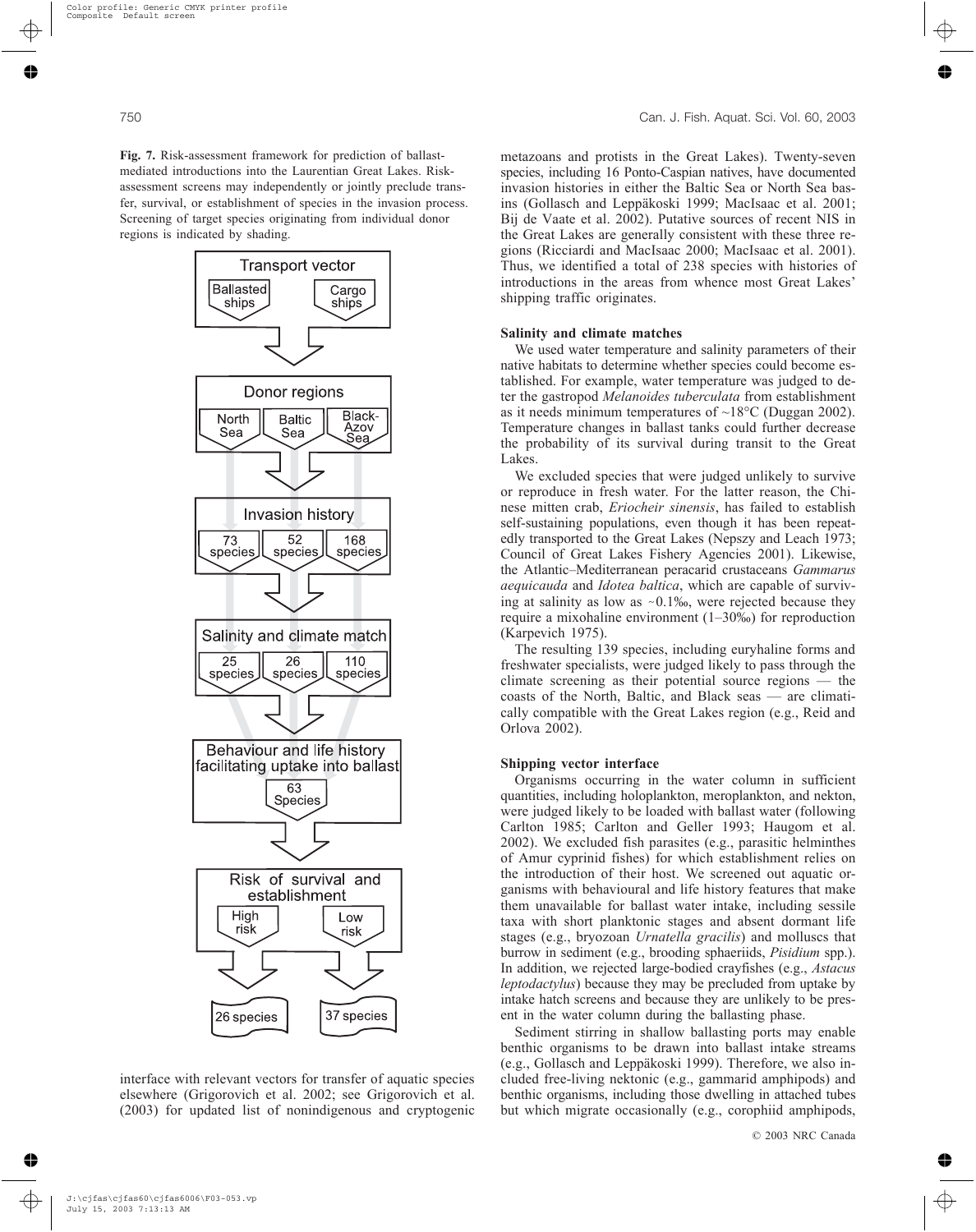**Fig. 7.** Risk-assessment framework for prediction of ballastmediated introductions into the Laurentian Great Lakes. Riskassessment screens may independently or jointly preclude transfer, survival, or establishment of species in the invasion process. Screening of target species originating from individual donor regions is indicated by shading.



interface with relevant vectors for transfer of aquatic species elsewhere (Grigorovich et al. 2002; see Grigorovich et al. (2003) for updated list of nonindigenous and cryptogenic metazoans and protists in the Great Lakes). Twenty-seven species, including 16 Ponto-Caspian natives, have documented invasion histories in either the Baltic Sea or North Sea basins (Gollasch and Leppäkoski 1999; MacIsaac et al. 2001; Bij de Vaate et al. 2002). Putative sources of recent NIS in the Great Lakes are generally consistent with these three regions (Ricciardi and MacIsaac 2000; MacIsaac et al. 2001). Thus, we identified a total of 238 species with histories of introductions in the areas from whence most Great Lakes' shipping traffic originates.

#### **Salinity and climate matches**

We used water temperature and salinity parameters of their native habitats to determine whether species could become established. For example, water temperature was judged to deter the gastropod *Melanoides tuberculata* from establishment as it needs minimum temperatures of  $\sim 18^{\circ}$ C (Duggan 2002). Temperature changes in ballast tanks could further decrease the probability of its survival during transit to the Great Lakes.

We excluded species that were judged unlikely to survive or reproduce in fresh water. For the latter reason, the Chinese mitten crab, *Eriocheir sinensis*, has failed to establish self-sustaining populations, even though it has been repeatedly transported to the Great Lakes (Nepszy and Leach 1973; Council of Great Lakes Fishery Agencies 2001). Likewise, the Atlantic–Mediterranean peracarid crustaceans *Gammarus aequicauda* and *Idotea baltica*, which are capable of surviving at salinity as low as  $~0.1\%$ , were rejected because they require a mixohaline environment  $(1-30\%)$  for reproduction (Karpevich 1975).

The resulting 139 species, including euryhaline forms and freshwater specialists, were judged likely to pass through the climate screening as their potential source regions  $-$  the coasts of the North, Baltic, and Black seas  $-$  are climatically compatible with the Great Lakes region (e.g., Reid and Orlova 2002).

## **Shipping vector interface**

Organisms occurring in the water column in sufficient quantities, including holoplankton, meroplankton, and nekton, were judged likely to be loaded with ballast water (following Carlton 1985; Carlton and Geller 1993; Haugom et al. 2002). We excluded fish parasites (e.g., parasitic helminthes of Amur cyprinid fishes) for which establishment relies on the introduction of their host. We screened out aquatic organisms with behavioural and life history features that make them unavailable for ballast water intake, including sessile taxa with short planktonic stages and absent dormant life stages (e.g., bryozoan *Urnatella gracilis*) and molluscs that burrow in sediment (e.g., brooding sphaeriids, *Pisidium* spp.). In addition, we rejected large-bodied crayfishes (e.g., *Astacus leptodactylus*) because they may be precluded from uptake by intake hatch screens and because they are unlikely to be present in the water column during the ballasting phase.

Sediment stirring in shallow ballasting ports may enable benthic organisms to be drawn into ballast intake streams (e.g., Gollasch and Leppäkoski 1999). Therefore, we also included free-living nektonic (e.g., gammarid amphipods) and benthic organisms, including those dwelling in attached tubes but which migrate occasionally (e.g., corophiid amphipods,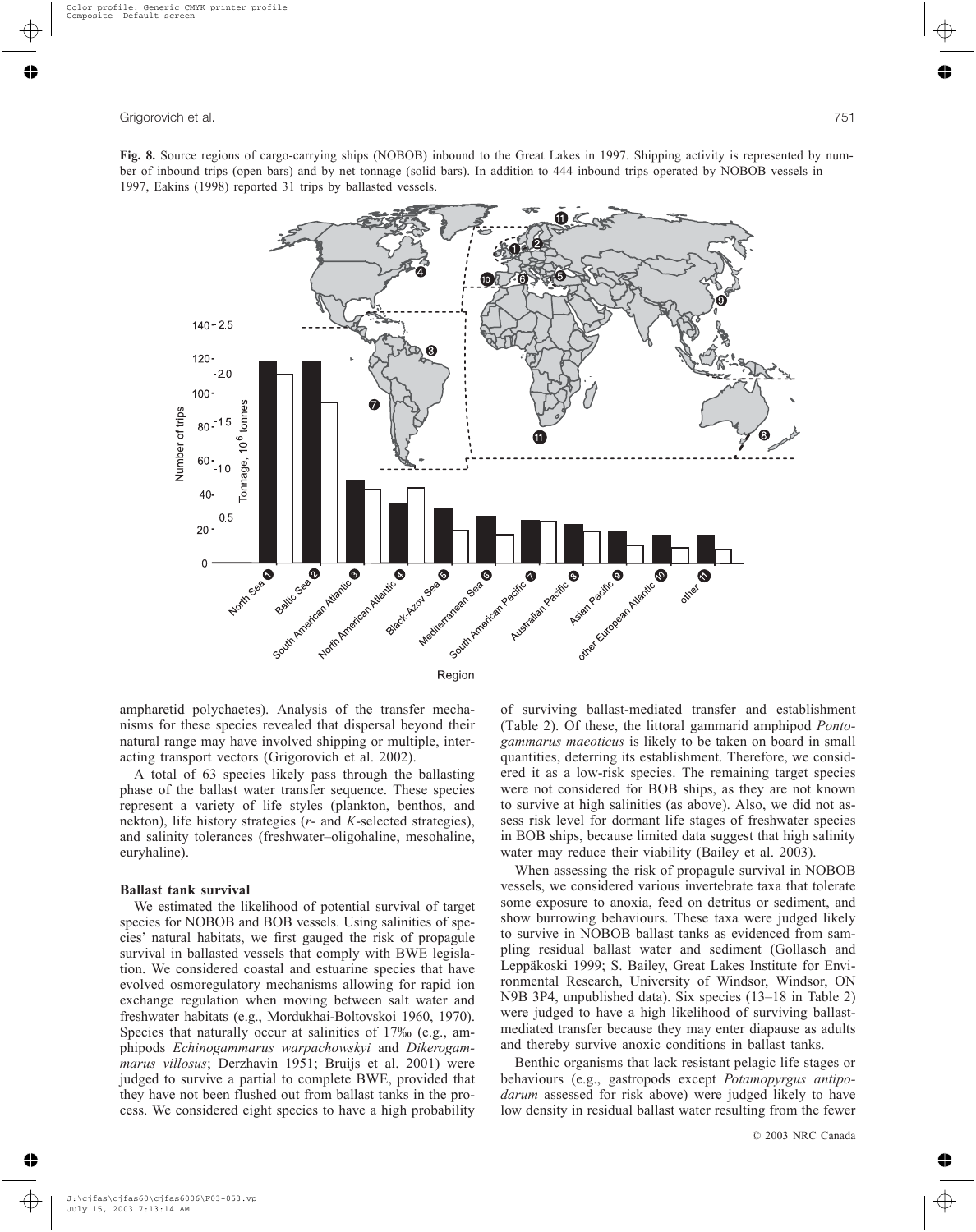1997, Eakins (1998) reported 31 trips by ballasted vessels.



Region

ampharetid polychaetes). Analysis of the transfer mechanisms for these species revealed that dispersal beyond their natural range may have involved shipping or multiple, interacting transport vectors (Grigorovich et al. 2002).

A total of 63 species likely pass through the ballasting phase of the ballast water transfer sequence. These species represent a variety of life styles (plankton, benthos, and nekton), life history strategies (*r*- and *K*-selected strategies), and salinity tolerances (freshwater-oligohaline, mesohaline, euryhaline).

#### **Ballast tank survival**

We estimated the likelihood of potential survival of target species for NOBOB and BOB vessels. Using salinities of species' natural habitats, we first gauged the risk of propagule survival in ballasted vessels that comply with BWE legislation. We considered coastal and estuarine species that have evolved osmoregulatory mechanisms allowing for rapid ion exchange regulation when moving between salt water and freshwater habitats (e.g., Mordukhai-Boltovskoi 1960, 1970). Species that naturally occur at salinities of  $17\%$  (e.g., amphipods *Echinogammarus warpachowskyi* and *Dikerogammarus villosus*; Derzhavin 1951; Bruijs et al. 2001) were judged to survive a partial to complete BWE, provided that they have not been flushed out from ballast tanks in the process. We considered eight species to have a high probability of surviving ballast-mediated transfer and establishment (Table 2). Of these, the littoral gammarid amphipod *Pontogammarus maeoticus* is likely to be taken on board in small quantities, deterring its establishment. Therefore, we considered it as a low-risk species. The remaining target species were not considered for BOB ships, as they are not known to survive at high salinities (as above). Also, we did not assess risk level for dormant life stages of freshwater species in BOB ships, because limited data suggest that high salinity water may reduce their viability (Bailey et al. 2003).

When assessing the risk of propagule survival in NOBOB vessels, we considered various invertebrate taxa that tolerate some exposure to anoxia, feed on detritus or sediment, and show burrowing behaviours. These taxa were judged likely to survive in NOBOB ballast tanks as evidenced from sampling residual ballast water and sediment (Gollasch and Leppäkoski 1999; S. Bailey, Great Lakes Institute for Environmental Research, University of Windsor, Windsor, ON N9B 3P4, unpublished data). Six species (13–18 in Table 2) were judged to have a high likelihood of surviving ballastmediated transfer because they may enter diapause as adults and thereby survive anoxic conditions in ballast tanks.

Benthic organisms that lack resistant pelagic life stages or behaviours (e.g., gastropods except *Potamopyrgus antipodarum* assessed for risk above) were judged likely to have low density in residual ballast water resulting from the fewer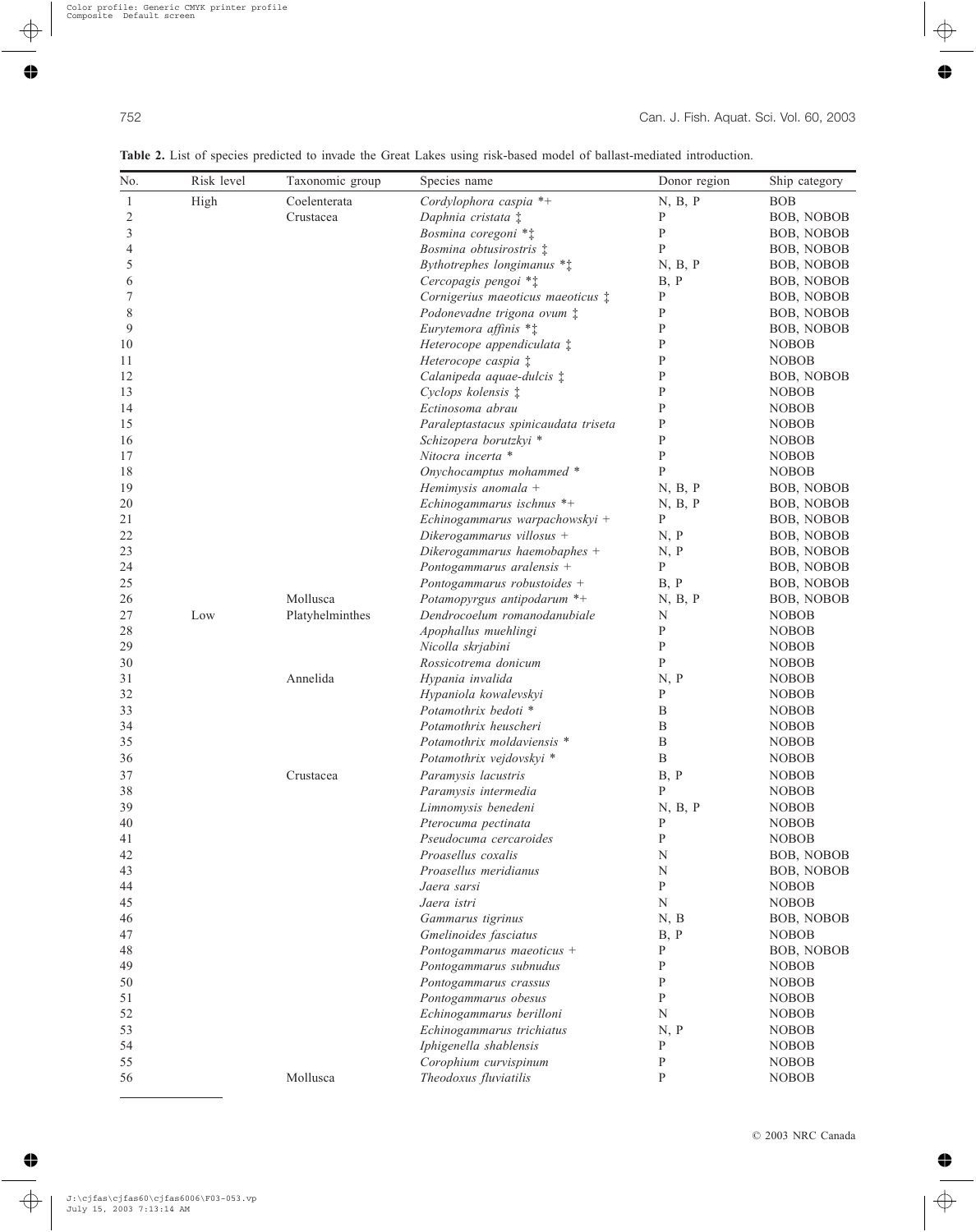| No.          | Risk level | Taxonomic group | Species name                                                | Donor region | Ship category                |
|--------------|------------|-----------------|-------------------------------------------------------------|--------------|------------------------------|
| $\mathbf{1}$ | High       | Coelenterata    | Cordylophora caspia *+                                      | N, B, P      | <b>BOB</b>                   |
| 2            |            | Crustacea       | Daphnia cristata ‡                                          | P            | BOB, NOBOB                   |
| 3            |            |                 | Bosmina coregoni **                                         | $\mathbf{P}$ | BOB, NOBOB                   |
| 4            |            |                 | Bosmina obtusirostris :                                     | $\mathbf{P}$ | BOB, NOBOB                   |
| 5            |            |                 | Bythotrephes longimanus **                                  | N, B, P      | BOB, NOBOB                   |
| 6            |            |                 | Cercopagis pengoi **                                        | B, P         | BOB, NOBOB                   |
| 7            |            |                 | Cornigerius maeoticus maeoticus ‡                           | P            | BOB, NOBOB                   |
| 8            |            |                 | Podonevadne trigona ovum ‡                                  | P            | BOB, NOBOB                   |
| 9            |            |                 | Eurytemora affinis **                                       | P            | BOB, NOBOB                   |
| 10           |            |                 | Heterocope appendiculata ‡                                  | P            | <b>NOBOB</b>                 |
| 11           |            |                 | Heterocope caspia $\ddagger$                                | P            | <b>NOBOB</b>                 |
| 12           |            |                 | Calanipeda aquae-dulcis :                                   | P            | BOB, NOBOB                   |
| 13           |            |                 | Cyclops kolensis ‡                                          | P            | <b>NOBOB</b>                 |
| 14           |            |                 | Ectinosoma abrau                                            | P            | <b>NOBOB</b>                 |
| 15           |            |                 | Paraleptastacus spinicaudata triseta                        | P            | <b>NOBOB</b>                 |
| 16           |            |                 | Schizopera borutzkyi *                                      | P            | <b>NOBOB</b>                 |
| 17           |            |                 | Nitocra incerta *                                           | P            | <b>NOBOB</b>                 |
| 18           |            |                 | Onychocamptus mohammed *                                    | P            | <b>NOBOB</b>                 |
| 19           |            |                 | Hemimysis anomala +                                         | N, B, P      | BOB, NOBOB                   |
| 20           |            |                 | Echinogammarus ischnus *+                                   | N, B, P      | BOB, NOBOB                   |
| 21           |            |                 | Echinogammarus warpachowskyi +                              | P            | BOB, NOBOB                   |
| 22           |            |                 | Dikerogammarus villosus +                                   | N, P         | BOB, NOBOB                   |
| 23           |            |                 | Dikerogammarus haemobaphes +                                | N, P         | BOB, NOBOB                   |
| 24           |            |                 | Pontogammarus aralensis +                                   | P            | BOB, NOBOB                   |
| 25           |            | Mollusca        | Pontogammarus robustoides +                                 | B, P         | BOB, NOBOB                   |
| 26           |            |                 | Potamopyrgus antipodarum *+<br>Dendrocoelum romanodanubiale | N, B, P      | BOB, NOBOB                   |
| 27<br>28     | Low        | Platyhelminthes |                                                             | Ν<br>P       | <b>NOBOB</b>                 |
| 29           |            |                 | Apophallus muehlingi<br>Nicolla skrjabini                   | P            | <b>NOBOB</b><br><b>NOBOB</b> |
| 30           |            |                 | Rossicotrema donicum                                        | P            | <b>NOBOB</b>                 |
| 31           |            | Annelida        | Hypania invalida                                            | N, P         | <b>NOBOB</b>                 |
| 32           |            |                 | Hypaniola kowalevskyi                                       | $\mathbf P$  | <b>NOBOB</b>                 |
| 33           |            |                 | Potamothrix bedoti *                                        | $\, {\bf B}$ | <b>NOBOB</b>                 |
| 34           |            |                 | Potamothrix heuscheri                                       | B            | <b>NOBOB</b>                 |
| 35           |            |                 | Potamothrix moldaviensis *                                  | B            | <b>NOBOB</b>                 |
| 36           |            |                 | Potamothrix vejdovskyi *                                    | $\, {\bf B}$ | <b>NOBOB</b>                 |
| 37           |            | Crustacea       | Paramysis lacustris                                         | B, P         | <b>NOBOB</b>                 |
| 38           |            |                 | Paramysis intermedia                                        | P            | <b>NOBOB</b>                 |
| 39           |            |                 | Limnomysis benedeni                                         | N, B, P      | <b>NOBOB</b>                 |
| 40           |            |                 | Pterocuma pectinata                                         | P            | <b>NOBOB</b>                 |
| 41           |            |                 | Pseudocuma cercaroides                                      | P            | <b>NOBOB</b>                 |
| 42           |            |                 | Proasellus coxalis                                          | N            | BOB, NOBOB                   |
| 43           |            |                 | Proasellus meridianus                                       | N            | BOB, NOBOB                   |
| 44           |            |                 | Jaera sarsi                                                 | P            | <b>NOBOB</b>                 |
| 45           |            |                 | Jaera istri                                                 | N            | <b>NOBOB</b>                 |
| 46           |            |                 | Gammarus tigrinus                                           | N, B         | BOB, NOBOB                   |
| 47           |            |                 | Gmelinoides fasciatus                                       | B, P         | <b>NOBOB</b>                 |
| 48           |            |                 | Pontogammarus maeoticus +                                   | P            | BOB, NOBOB                   |
| 49           |            |                 | Pontogammarus subnudus                                      | P            | <b>NOBOB</b>                 |
| 50           |            |                 | Pontogammarus crassus                                       | P            | <b>NOBOB</b>                 |
| 51           |            |                 | Pontogammarus obesus                                        | P            | <b>NOBOB</b>                 |
| 52           |            |                 | Echinogammarus berilloni                                    | Ν            | <b>NOBOB</b>                 |
| 53           |            |                 | Echinogammarus trichiatus                                   | N, P         | <b>NOBOB</b>                 |
| 54           |            |                 | Iphigenella shablensis                                      | P            | <b>NOBOB</b>                 |
| 55           |            |                 | Corophium curvispinum                                       | $\mathbf{P}$ | <b>NOBOB</b>                 |
| 56           |            | Mollusca        | Theodoxus fluviatilis                                       | $\mathbf{P}$ | <b>NOBOB</b>                 |

**Table 2.** List of species predicted to invade the Great Lakes using risk-based model of ballast-mediated introduction.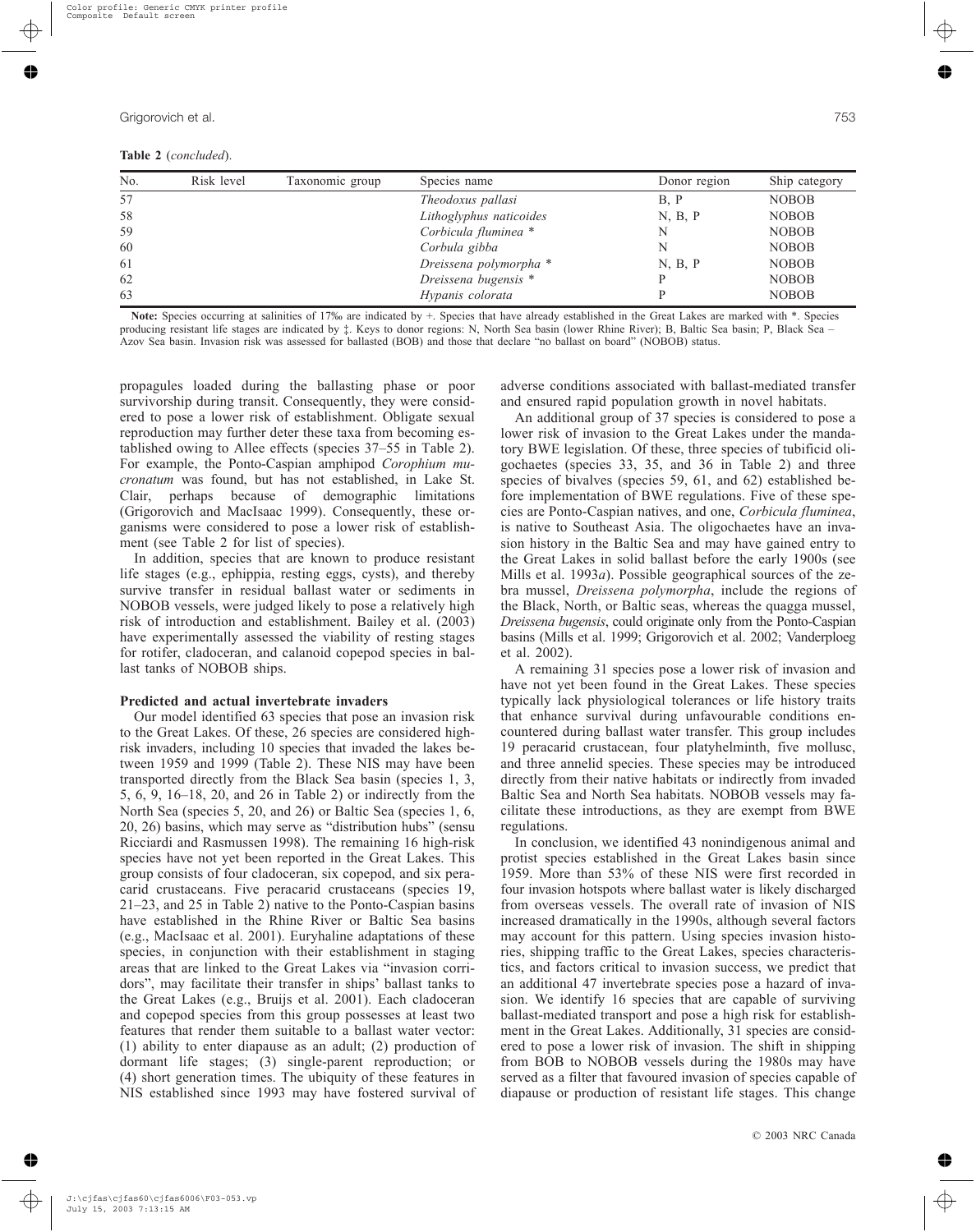**Table 2** (*concluded*).

| No. | Risk level | Taxonomic group | Species name            | Donor region | Ship category |
|-----|------------|-----------------|-------------------------|--------------|---------------|
| 57  |            |                 | Theodoxus pallasi       | <b>B.</b> P  | <b>NOBOB</b>  |
| 58  |            |                 | Lithoglyphus naticoides | N, B, P      | <b>NOBOB</b>  |
| 59  |            |                 | Corbicula fluminea *    |              | <b>NOBOB</b>  |
| 60  |            |                 | Corbula gibba           |              | <b>NOBOB</b>  |
| 61  |            |                 | Dreissena polymorpha *  | N, B, P      | <b>NOBOB</b>  |
| 62  |            |                 | Dreissena bugensis *    |              | <b>NOBOB</b>  |
| 63  |            |                 | Hypanis colorata        |              | <b>NOBOB</b>  |

Note: Species occurring at salinities of 17<sub>%</sub> are indicated by +. Species that have already established in the Great Lakes are marked with \*. Species producing resistant life stages are indicated by  $\ddagger$ . Keys to donor regions: N, North Sea basin (lower Rhine River); B, Baltic Sea basin; P, Black Sea -Azov Sea basin. Invasion risk was assessed for ballasted (BOB) and those that declare "no ballast on board" (NOBOB) status.

propagules loaded during the ballasting phase or poor survivorship during transit. Consequently, they were considered to pose a lower risk of establishment. Obligate sexual reproduction may further deter these taxa from becoming established owing to Allee effects (species 37–55 in Table 2). For example, the Ponto-Caspian amphipod *Corophium mucronatum* was found, but has not established, in Lake St. Clair, perhaps because of demographic limitations (Grigorovich and MacIsaac 1999). Consequently, these organisms were considered to pose a lower risk of establishment (see Table 2 for list of species).

In addition, species that are known to produce resistant life stages (e.g., ephippia, resting eggs, cysts), and thereby survive transfer in residual ballast water or sediments in NOBOB vessels, were judged likely to pose a relatively high risk of introduction and establishment. Bailey et al. (2003) have experimentally assessed the viability of resting stages for rotifer, cladoceran, and calanoid copepod species in ballast tanks of NOBOB ships.

#### **Predicted and actual invertebrate invaders**

Our model identified 63 species that pose an invasion risk to the Great Lakes. Of these, 26 species are considered highrisk invaders, including 10 species that invaded the lakes between 1959 and 1999 (Table 2). These NIS may have been transported directly from the Black Sea basin (species 1, 3, 5, 6, 9, 16–18, 20, and 26 in Table 2) or indirectly from the North Sea (species 5, 20, and 26) or Baltic Sea (species 1, 6,  $20, 26$ ) basins, which may serve as "distribution hubs" (sensu Ricciardi and Rasmussen 1998). The remaining 16 high-risk species have not yet been reported in the Great Lakes. This group consists of four cladoceran, six copepod, and six peracarid crustaceans. Five peracarid crustaceans (species 19,  $21-23$ , and  $25$  in Table 2) native to the Ponto-Caspian basins have established in the Rhine River or Baltic Sea basins (e.g., MacIsaac et al. 2001). Euryhaline adaptations of these species, in conjunction with their establishment in staging areas that are linked to the Great Lakes via "invasion corridors", may facilitate their transfer in ships' ballast tanks to the Great Lakes (e.g., Bruijs et al. 2001). Each cladoceran and copepod species from this group possesses at least two features that render them suitable to a ballast water vector: (1) ability to enter diapause as an adult; (2) production of dormant life stages; (3) single-parent reproduction; or (4) short generation times. The ubiquity of these features in NIS established since 1993 may have fostered survival of adverse conditions associated with ballast-mediated transfer and ensured rapid population growth in novel habitats.

An additional group of 37 species is considered to pose a lower risk of invasion to the Great Lakes under the mandatory BWE legislation. Of these, three species of tubificid oligochaetes (species 33, 35, and 36 in Table 2) and three species of bivalves (species 59, 61, and 62) established before implementation of BWE regulations. Five of these species are Ponto-Caspian natives, and one, *Corbicula fluminea*, is native to Southeast Asia. The oligochaetes have an invasion history in the Baltic Sea and may have gained entry to the Great Lakes in solid ballast before the early 1900s (see Mills et al. 1993*a*). Possible geographical sources of the zebra mussel, *Dreissena polymorpha*, include the regions of the Black, North, or Baltic seas, whereas the quagga mussel, *Dreissena bugensis*, could originate only from the Ponto-Caspian basins (Mills et al. 1999; Grigorovich et al. 2002; Vanderploeg et al. 2002).

A remaining 31 species pose a lower risk of invasion and have not yet been found in the Great Lakes. These species typically lack physiological tolerances or life history traits that enhance survival during unfavourable conditions encountered during ballast water transfer. This group includes 19 peracarid crustacean, four platyhelminth, five mollusc, and three annelid species. These species may be introduced directly from their native habitats or indirectly from invaded Baltic Sea and North Sea habitats. NOBOB vessels may facilitate these introductions, as they are exempt from BWE regulations.

In conclusion, we identified 43 nonindigenous animal and protist species established in the Great Lakes basin since 1959. More than 53% of these NIS were first recorded in four invasion hotspots where ballast water is likely discharged from overseas vessels. The overall rate of invasion of NIS increased dramatically in the 1990s, although several factors may account for this pattern. Using species invasion histories, shipping traffic to the Great Lakes, species characteristics, and factors critical to invasion success, we predict that an additional 47 invertebrate species pose a hazard of invasion. We identify 16 species that are capable of surviving ballast-mediated transport and pose a high risk for establishment in the Great Lakes. Additionally, 31 species are considered to pose a lower risk of invasion. The shift in shipping from BOB to NOBOB vessels during the 1980s may have served as a filter that favoured invasion of species capable of diapause or production of resistant life stages. This change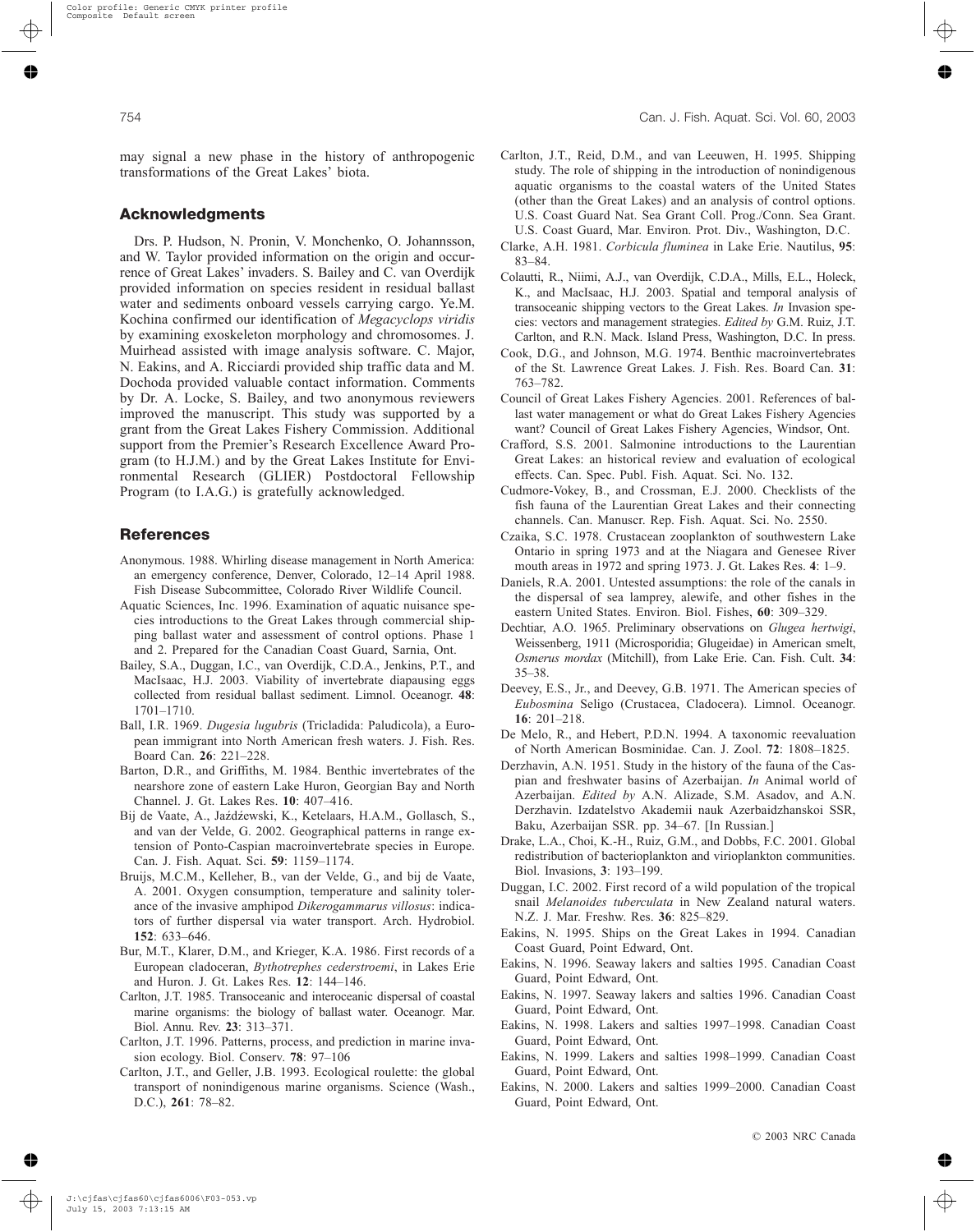may signal a new phase in the history of anthropogenic transformations of the Great Lakes' biota.

# **Acknowledgments**

Drs. P. Hudson, N. Pronin, V. Monchenko, O. Johannsson, and W. Taylor provided information on the origin and occurrence of Great Lakes' invaders. S. Bailey and C. van Overdijk provided information on species resident in residual ballast water and sediments onboard vessels carrying cargo. Ye.M. Kochina confirmed our identification of *Megacyclops viridis* by examining exoskeleton morphology and chromosomes. J. Muirhead assisted with image analysis software. C. Major, N. Eakins, and A. Ricciardi provided ship traffic data and M. Dochoda provided valuable contact information. Comments by Dr. A. Locke, S. Bailey, and two anonymous reviewers improved the manuscript. This study was supported by a grant from the Great Lakes Fishery Commission. Additional support from the Premier's Research Excellence Award Program (to H.J.M.) and by the Great Lakes Institute for Environmental Research (GLIER) Postdoctoral Fellowship Program (to I.A.G.) is gratefully acknowledged.

# **References**

- Anonymous. 1988. Whirling disease management in North America: an emergency conference, Denver, Colorado, 12-14 April 1988. Fish Disease Subcommittee, Colorado River Wildlife Council.
- Aquatic Sciences, Inc. 1996. Examination of aquatic nuisance species introductions to the Great Lakes through commercial shipping ballast water and assessment of control options. Phase 1 and 2. Prepared for the Canadian Coast Guard, Sarnia, Ont.
- Bailey, S.A., Duggan, I.C., van Overdijk, C.D.A., Jenkins, P.T., and MacIsaac, H.J. 2003. Viability of invertebrate diapausing eggs collected from residual ballast sediment. Limnol. Oceanogr. **48**: 1701-1710.
- Ball, I.R. 1969. *Dugesia lugubris* (Tricladida: Paludicola), a European immigrant into North American fresh waters. J. Fish. Res. Board Can. 26: 221-228.
- Barton, D.R., and Griffiths, M. 1984. Benthic invertebrates of the nearshore zone of eastern Lake Huron, Georgian Bay and North Channel. J. Gt. Lakes Res. **10**: 407-416.
- Bij de Vaate, A., Jaźdźewski, K., Ketelaars, H.A.M., Gollasch, S., and van der Velde, G. 2002. Geographical patterns in range extension of Ponto-Caspian macroinvertebrate species in Europe. Can. J. Fish. Aquat. Sci. **59**: 1159-1174.
- Bruijs, M.C.M., Kelleher, B., van der Velde, G., and bij de Vaate, A. 2001. Oxygen consumption, temperature and salinity tolerance of the invasive amphipod *Dikerogammarus villosus*: indicators of further dispersal via water transport. Arch. Hydrobiol. **152**: 633-646.
- Bur, M.T., Klarer, D.M., and Krieger, K.A. 1986. First records of a European cladoceran, *Bythotrephes cederstroemi*, in Lakes Erie and Huron. J. Gt. Lakes Res. 12: 144-146.
- Carlton, J.T. 1985. Transoceanic and interoceanic dispersal of coastal marine organisms: the biology of ballast water. Oceanogr. Mar. Biol. Annu. Rev. 23: 313-371.
- Carlton, J.T. 1996. Patterns, process, and prediction in marine invasion ecology. Biol. Conserv. **78**: 97-106
- Carlton, J.T., and Geller, J.B. 1993. Ecological roulette: the global transport of nonindigenous marine organisms. Science (Wash., D.C.), **261**: 78–82.
- Carlton, J.T., Reid, D.M., and van Leeuwen, H. 1995. Shipping study. The role of shipping in the introduction of nonindigenous aquatic organisms to the coastal waters of the United States (other than the Great Lakes) and an analysis of control options. U.S. Coast Guard Nat. Sea Grant Coll. Prog./Conn. Sea Grant. U.S. Coast Guard, Mar. Environ. Prot. Div., Washington, D.C.
- Clarke, A.H. 1981. *Corbicula fluminea* in Lake Erie. Nautilus, **95**: 83-84.
- Colautti, R., Niimi, A.J., van Overdijk, C.D.A., Mills, E.L., Holeck, K., and MacIsaac, H.J. 2003. Spatial and temporal analysis of transoceanic shipping vectors to the Great Lakes. *In* Invasion species: vectors and management strategies. *Edited by* G.M. Ruiz, J.T. Carlton, and R.N. Mack. Island Press, Washington, D.C. In press.
- Cook, D.G., and Johnson, M.G. 1974. Benthic macroinvertebrates of the St. Lawrence Great Lakes. J. Fish. Res. Board Can. **31**: 763-782.
- Council of Great Lakes Fishery Agencies. 2001. References of ballast water management or what do Great Lakes Fishery Agencies want? Council of Great Lakes Fishery Agencies, Windsor, Ont.
- Crafford, S.S. 2001. Salmonine introductions to the Laurentian Great Lakes: an historical review and evaluation of ecological effects. Can. Spec. Publ. Fish. Aquat. Sci. No. 132.
- Cudmore-Vokey, B., and Crossman, E.J. 2000. Checklists of the fish fauna of the Laurentian Great Lakes and their connecting channels. Can. Manuscr. Rep. Fish. Aquat. Sci. No. 2550.
- Czaika, S.C. 1978. Crustacean zooplankton of southwestern Lake Ontario in spring 1973 and at the Niagara and Genesee River mouth areas in 1972 and spring 1973. J. Gt. Lakes Res. 4: 1–9.
- Daniels, R.A. 2001. Untested assumptions: the role of the canals in the dispersal of sea lamprey, alewife, and other fishes in the eastern United States. Environ. Biol. Fishes, 60: 309-329.
- Dechtiar, A.O. 1965. Preliminary observations on *Glugea hertwigi*, Weissenberg, 1911 (Microsporidia; Glugeidae) in American smelt, *Osmerus mordax* (Mitchill), from Lake Erie. Can. Fish. Cult. **34**:  $35 - 38$
- Deevey, E.S., Jr., and Deevey, G.B. 1971. The American species of *Eubosmina* Seligo (Crustacea, Cladocera). Limnol. Oceanogr. **16**: 201-218.
- De Melo, R., and Hebert, P.D.N. 1994. A taxonomic reevaluation of North American Bosminidae. Can. J. Zool. 72: 1808-1825.
- Derzhavin, A.N. 1951. Study in the history of the fauna of the Caspian and freshwater basins of Azerbaijan. *In* Animal world of Azerbaijan. *Edited by* A.N. Alizade, S.M. Asadov, and A.N. Derzhavin. Izdatelstvo Akademii nauk Azerbaidzhanskoi SSR, Baku, Azerbaijan SSR. pp. 34-67. [In Russian.]
- Drake, L.A., Choi, K.-H., Ruiz, G.M., and Dobbs, F.C. 2001. Global redistribution of bacterioplankton and virioplankton communities. Biol. Invasions, 3: 193-199.
- Duggan, I.C. 2002. First record of a wild population of the tropical snail *Melanoides tuberculata* in New Zealand natural waters. N.Z. J. Mar. Freshw. Res. 36: 825–829.
- Eakins, N. 1995. Ships on the Great Lakes in 1994. Canadian Coast Guard, Point Edward, Ont.
- Eakins, N. 1996. Seaway lakers and salties 1995. Canadian Coast Guard, Point Edward, Ont.
- Eakins, N. 1997. Seaway lakers and salties 1996. Canadian Coast Guard, Point Edward, Ont.
- Eakins, N. 1998. Lakers and salties 1997–1998. Canadian Coast Guard, Point Edward, Ont.
- Eakins, N. 1999. Lakers and salties 1998-1999. Canadian Coast Guard, Point Edward, Ont.
- Eakins, N. 2000. Lakers and salties 1999-2000. Canadian Coast Guard, Point Edward, Ont.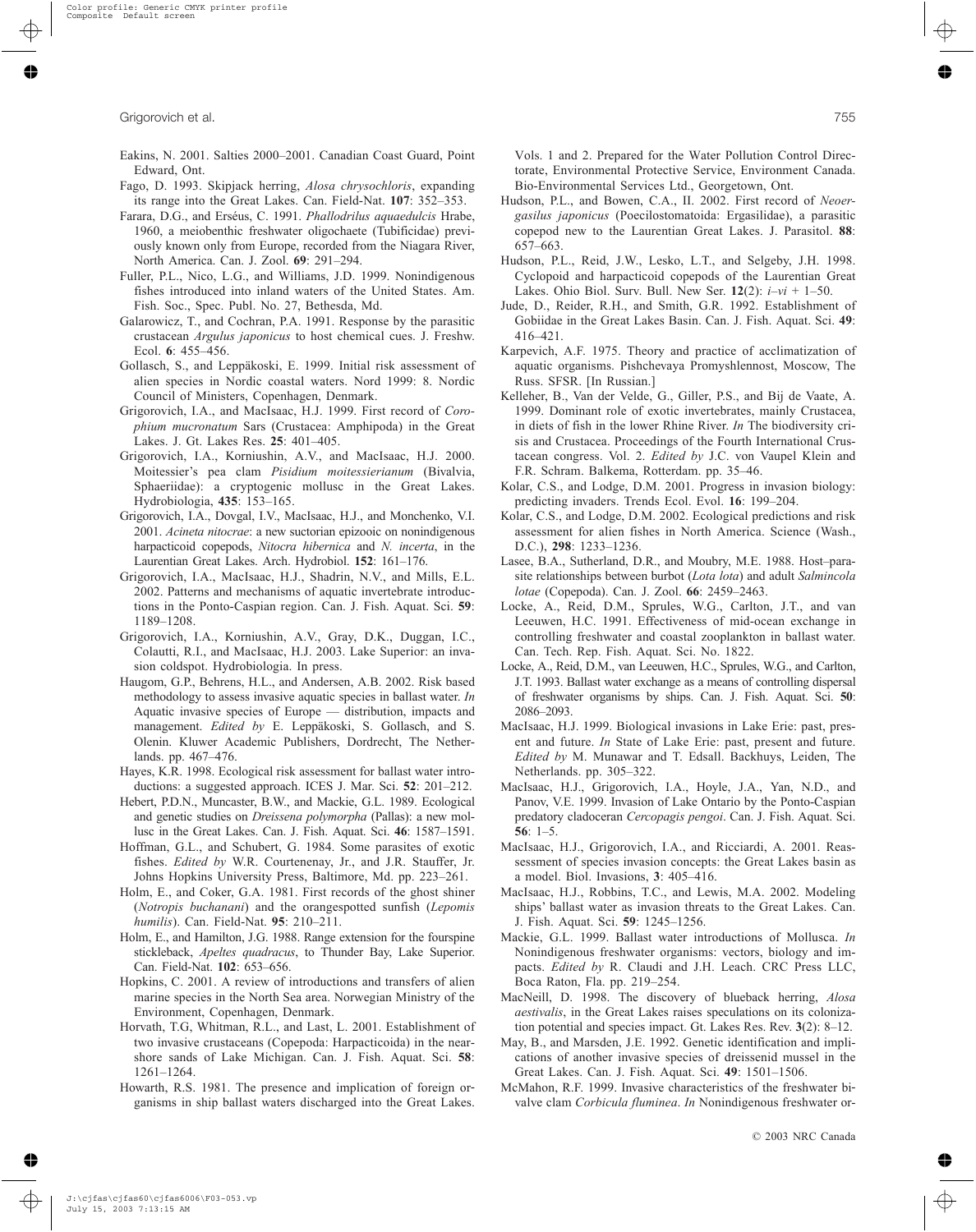- Eakins, N. 2001. Salties 2000–2001. Canadian Coast Guard, Point Edward, Ont.
- Fago, D. 1993. Skipjack herring, *Alosa chrysochloris*, expanding its range into the Great Lakes. Can. Field-Nat. 107: 352-353.
- Farara, D.G., and ErsÈus, C. 1991. *Phallodrilus aquaedulcis* Hrabe, 1960, a meiobenthic freshwater oligochaete (Tubificidae) previously known only from Europe, recorded from the Niagara River, North America. Can. J. Zool. 69: 291-294.
- Fuller, P.L., Nico, L.G., and Williams, J.D. 1999. Nonindigenous fishes introduced into inland waters of the United States. Am. Fish. Soc., Spec. Publ. No. 27, Bethesda, Md.
- Galarowicz, T., and Cochran, P.A. 1991. Response by the parasitic crustacean *Argulus japonicus* to host chemical cues. J. Freshw. Ecol. **6**: 455–456.
- Gollasch, S., and Leppäkoski, E. 1999. Initial risk assessment of alien species in Nordic coastal waters. Nord 1999: 8. Nordic Council of Ministers, Copenhagen, Denmark.
- Grigorovich, I.A., and MacIsaac, H.J. 1999. First record of *Corophium mucronatum* Sars (Crustacea: Amphipoda) in the Great Lakes. J. Gt. Lakes Res. **25**: 401-405.
- Grigorovich, I.A., Korniushin, A.V., and MacIsaac, H.J. 2000. Moitessierís pea clam *Pisidium moitessierianum* (Bivalvia, Sphaeriidae): a cryptogenic mollusc in the Great Lakes. Hydrobiologia, **435**: 153–165.
- Grigorovich, I.A., Dovgal, I.V., MacIsaac, H.J., and Monchenko, V.I. 2001. *Acineta nitocrae*: a new suctorian epizooic on nonindigenous harpacticoid copepods, *Nitocra hibernica* and *N. incerta*, in the Laurentian Great Lakes. Arch. Hydrobiol. **152**: 161–176.
- Grigorovich, I.A., MacIsaac, H.J., Shadrin, N.V., and Mills, E.L. 2002. Patterns and mechanisms of aquatic invertebrate introductions in the Ponto-Caspian region. Can. J. Fish. Aquat. Sci. **59**: 1189–1208.
- Grigorovich, I.A., Korniushin, A.V., Gray, D.K., Duggan, I.C., Colautti, R.I., and MacIsaac, H.J. 2003. Lake Superior: an invasion coldspot. Hydrobiologia. In press.
- Haugom, G.P., Behrens, H.L., and Andersen, A.B. 2002. Risk based methodology to assess invasive aquatic species in ballast water. *In* Aquatic invasive species of Europe  $-$  distribution, impacts and management. *Edited by* E. Leppäkoski, S. Gollasch, and S. Olenin. Kluwer Academic Publishers, Dordrecht, The Netherlands. pp. 467-476.
- Hayes, K.R. 1998. Ecological risk assessment for ballast water introductions: a suggested approach. ICES J. Mar. Sci. 52: 201-212.
- Hebert, P.D.N., Muncaster, B.W., and Mackie, G.L. 1989. Ecological and genetic studies on *Dreissena polymorpha* (Pallas): a new mollusc in the Great Lakes. Can. J. Fish. Aquat. Sci. 46: 1587–1591.
- Hoffman, G.L., and Schubert, G. 1984. Some parasites of exotic fishes. *Edited by* W.R. Courtenenay, Jr., and J.R. Stauffer, Jr. Johns Hopkins University Press, Baltimore, Md. pp. 223–261.
- Holm, E., and Coker, G.A. 1981. First records of the ghost shiner (*Notropis buchanani*) and the orangespotted sunfish (*Lepomis humilis*). Can. Field-Nat. 95: 210-211.
- Holm, E., and Hamilton, J.G. 1988. Range extension for the fourspine stickleback, *Apeltes quadracus*, to Thunder Bay, Lake Superior. Can. Field-Nat. 102: 653-656.
- Hopkins, C. 2001. A review of introductions and transfers of alien marine species in the North Sea area. Norwegian Ministry of the Environment, Copenhagen, Denmark.
- Horvath, T.G, Whitman, R.L., and Last, L. 2001. Establishment of two invasive crustaceans (Copepoda: Harpacticoida) in the nearshore sands of Lake Michigan. Can. J. Fish. Aquat. Sci. **58**: 1261-1264.
- Howarth, R.S. 1981. The presence and implication of foreign organisms in ship ballast waters discharged into the Great Lakes.

Vols. 1 and 2. Prepared for the Water Pollution Control Directorate, Environmental Protective Service, Environment Canada. Bio-Environmental Services Ltd., Georgetown, Ont.

- Hudson, P.L., and Bowen, C.A., II. 2002. First record of *Neoergasilus japonicus* (Poecilostomatoida: Ergasilidae), a parasitic copepod new to the Laurentian Great Lakes. J. Parasitol. **88**: 657-663.
- Hudson, P.L., Reid, J.W., Lesko, L.T., and Selgeby, J.H. 1998. Cyclopoid and harpacticoid copepods of the Laurentian Great Lakes. Ohio Biol. Surv. Bull. New Ser.  $12(2)$ : *i* $-vi + 1-50$ .
- Jude, D., Reider, R.H., and Smith, G.R. 1992. Establishment of Gobiidae in the Great Lakes Basin. Can. J. Fish. Aquat. Sci. **49**:  $416 - 421$ .
- Karpevich, A.F. 1975. Theory and practice of acclimatization of aquatic organisms. Pishchevaya Promyshlennost, Moscow, The Russ. SFSR. [In Russian.]
- Kelleher, B., Van der Velde, G., Giller, P.S., and Bij de Vaate, A. 1999. Dominant role of exotic invertebrates, mainly Crustacea, in diets of fish in the lower Rhine River. *In* The biodiversity crisis and Crustacea. Proceedings of the Fourth International Crustacean congress. Vol. 2. *Edited by* J.C. von Vaupel Klein and F.R. Schram. Balkema, Rotterdam. pp. 35–46.
- Kolar, C.S., and Lodge, D.M. 2001. Progress in invasion biology: predicting invaders. Trends Ecol. Evol. **16**: 199–204.
- Kolar, C.S., and Lodge, D.M. 2002. Ecological predictions and risk assessment for alien fishes in North America. Science (Wash., D.C.), **298**: 1233–1236.
- Lasee, B.A., Sutherland, D.R., and Moubry, M.E. 1988. Host-parasite relationships between burbot (*Lota lota*) and adult *Salmincola lotae* (Copepoda). Can. J. Zool. 66: 2459-2463.
- Locke, A., Reid, D.M., Sprules, W.G., Carlton, J.T., and van Leeuwen, H.C. 1991. Effectiveness of mid-ocean exchange in controlling freshwater and coastal zooplankton in ballast water. Can. Tech. Rep. Fish. Aquat. Sci. No. 1822.
- Locke, A., Reid, D.M., van Leeuwen, H.C., Sprules, W.G., and Carlton, J.T. 1993. Ballast water exchange as a means of controlling dispersal of freshwater organisms by ships. Can. J. Fish. Aquat. Sci. **50**: 2086–2093.
- MacIsaac, H.J. 1999. Biological invasions in Lake Erie: past, present and future. *In* State of Lake Erie: past, present and future. *Edited by* M. Munawar and T. Edsall. Backhuys, Leiden, The Netherlands. pp. 305-322.
- MacIsaac, H.J., Grigorovich, I.A., Hoyle, J.A., Yan, N.D., and Panov, V.E. 1999. Invasion of Lake Ontario by the Ponto-Caspian predatory cladoceran *Cercopagis pengoi*. Can. J. Fish. Aquat. Sci. 56:  $1-5$ .
- MacIsaac, H.J., Grigorovich, I.A., and Ricciardi, A. 2001. Reassessment of species invasion concepts: the Great Lakes basin as a model. Biol. Invasions, 3: 405<sup>-416</sup>.
- MacIsaac, H.J., Robbins, T.C., and Lewis, M.A. 2002. Modeling ships' ballast water as invasion threats to the Great Lakes. Can. J. Fish. Aquat. Sci. 59: 1245-1256.
- Mackie, G.L. 1999. Ballast water introductions of Mollusca. *In* Nonindigenous freshwater organisms: vectors, biology and impacts. *Edited by* R. Claudi and J.H. Leach. CRC Press LLC, Boca Raton, Fla. pp. 219-254.
- MacNeill, D. 1998. The discovery of blueback herring, *Alosa aestivalis*, in the Great Lakes raises speculations on its colonization potential and species impact. Gt. Lakes Res. Rev.  $3(2)$ : 8–12.
- May, B., and Marsden, J.E. 1992. Genetic identification and implications of another invasive species of dreissenid mussel in the Great Lakes. Can. J. Fish. Aquat. Sci. 49: 1501-1506.
- McMahon, R.F. 1999. Invasive characteristics of the freshwater bivalve clam *Corbicula fluminea*. *In* Nonindigenous freshwater or-